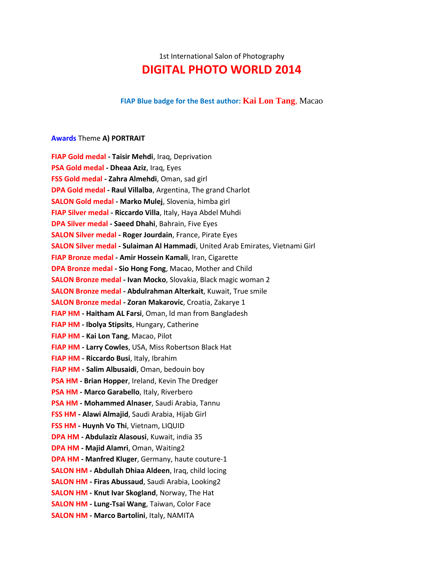# 1st International Salon of Photography **DIGITAL PHOTO WORLD 2014**

#### **FIAP Blue badge for the Best author: [Kai Lon Tang](http://www.dpw.rs/main/index.php?op=100&l=1&uidp=185)**, Macao

#### **Awards** Theme **A) PORTRAIT**

**FIAP Gold medal - Taisir Mehdi**, Iraq, Deprivation **PSA Gold medal - Dheaa Aziz**, Iraq, Eyes **FSS Gold medal - Zahra Almehdi**, Oman, sad girl **DPA Gold medal - Raul Villalba**, Argentina, The grand Charlot **SALON Gold medal - Marko Mulej**, Slovenia, himba girl **FIAP Silver medal - Riccardo Villa**, Italy, Haya Abdel Muhdi **DPA Silver medal - Saeed Dhahi**, Bahrain, Five Eyes **SALON Silver medal - Roger Jourdain**, France, Pirate Eyes **SALON Silver medal - Sulaiman Al Hammadi**, United Arab Emirates, Vietnami Girl **FIAP Bronze medal - Amir Hossein Kamali**, Iran, Cigarette **DPA Bronze medal - Sio Hong Fong**, Macao, Mother and Child **SALON Bronze medal - Ivan Mocko**, Slovakia, Black magic woman 2 **SALON Bronze medal - Abdulrahman Alterkait**, Kuwait, True smile **SALON Bronze medal - Zoran Makarovic**, Croatia, Zakarye 1 **FIAP HM - Haitham AL Farsi**, Oman, ld man from Bangladesh **FIAP HM - Ibolya Stipsits**, Hungary, Catherine **FIAP HM - Kai Lon Tang**, Macao, Pilot **FIAP HM - Larry Cowles**, USA, Miss Robertson Black Hat **FIAP HM - Riccardo Busi**, Italy, Ibrahim **FIAP HM - Salim Albusaidi**, Oman, bedouin boy **PSA HM - Brian Hopper**, Ireland, Kevin The Dredger **PSA HM - Marco Garabello**, Italy, Riverbero **PSA HM - Mohammed Alnaser**, Saudi Arabia, Tannu **FSS HM - Alawi Almajid**, Saudi Arabia, Hijab Girl **FSS HM - Huynh Vo Thi**, Vietnam, LIQUID **DPA HM - Abdulaziz Alasousi**, Kuwait, india 35 **DPA HM - Majid Alamri**, Oman, Waiting2 **DPA HM - Manfred Kluger**, Germany, haute couture-1 **SALON HM - Abdullah Dhiaa Aldeen**, Iraq, child locing **SALON HM - Firas Abussaud**, Saudi Arabia, Looking2 **SALON HM - Knut Ivar Skogland**, Norway, The Hat **SALON HM - Lung-Tsai Wang**, Taiwan, Color Face **SALON HM - Marco Bartolini**, Italy, NAMITA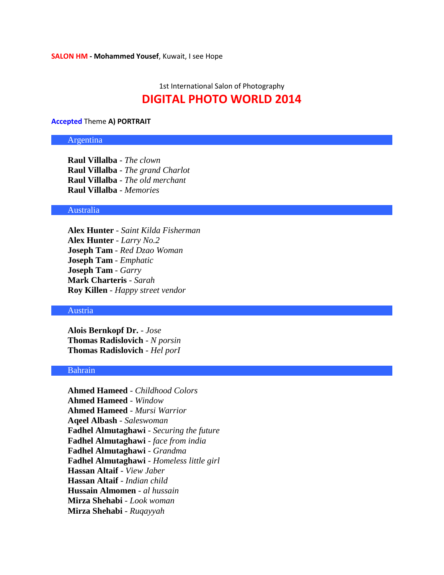# 1st International Salon of Photography **DIGITAL PHOTO WORLD 2014**

#### **Accepted** Theme **A) PORTRAIT**

# Argentina

**Raul Villalba** - *The clown* **Raul Villalba** - *The grand Charlot* **Raul Villalba** - *The old merchant* **Raul Villalba** - *Memories*

# Australia

**Alex Hunter** - *Saint Kilda Fisherman* **Alex Hunter** - *Larry No.2* **Joseph Tam** - *Red Dzao Woman* **Joseph Tam** - *Emphatic* **Joseph Tam** - *Garry* **Mark Charteris** - *Sarah* **Roy Killen** - *Happy street vendor*

#### Austria

**Alois Bernkopf Dr.** - *Jose* **Thomas Radislovich** - *N porsin* **Thomas Radislovich** - *Hel porI*

#### Bahrain

**Ahmed Hameed** - *Childhood Colors* **Ahmed Hameed** - *Window* **Ahmed Hameed** - *Mursi Warrior* **Aqeel Albash** - *Saleswoman* **Fadhel Almutaghawi** - *Securing the future* **Fadhel Almutaghawi** - *face from india* **Fadhel Almutaghawi** - *Grandma* **Fadhel Almutaghawi** - *Homeless little girl* **Hassan Altaif** - *View Jaber* **Hassan Altaif** - *Indian child* **Hussain Almomen** - *al hussain* **Mirza Shehabi** - *Look woman* **Mirza Shehabi** - *Ruqayyah*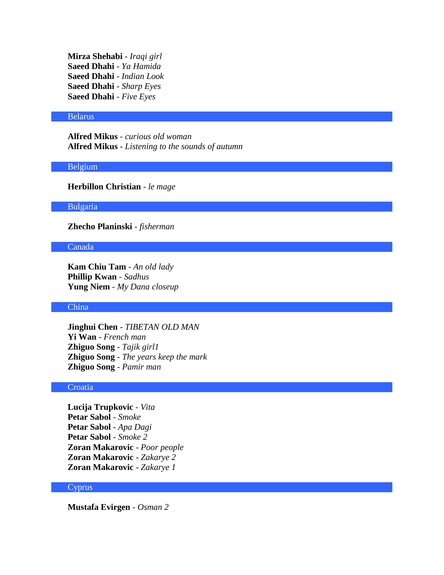**Mirza Shehabi** - *Iraqi girl* **Saeed Dhahi** - *Ya Hamida* **Saeed Dhahi** - *Indian Look* **Saeed Dhahi** - *Sharp Eyes* **Saeed Dhahi** - *Five Eyes*

#### Belarus

**Alfred Mikus** - *curious old woman* **Alfred Mikus** - *Listening to the sounds of autumn*

#### Belgium

**Herbillon Christian** - *le mage*

# Bulgaria

**Zhecho Planinski** - *fisherman*

#### Canada

**Kam Chiu Tam** - *An old lady* **Phillip Kwan** - *Sadhus* **Yung Niem** - *My Dana closeup*

# China

**Jinghui Chen** - *TIBETAN OLD MAN* **Yi Wan** - *French man* **Zhiguo Song** - *Tajik girl1* **Zhiguo Song** - *The years keep the mark* **Zhiguo Song** - *Pamir man*

#### **Croatia**

**Lucija Trupkovic** - *Vita* **Petar Sabol** - *Smoke* **Petar Sabol** - *Apa Dagi* **Petar Sabol** - *Smoke 2* **Zoran Makarovic** - *Poor people* **Zoran Makarovic** - *Zakarye 2* **Zoran Makarovic** - *Zakarye 1*

# Cyprus

**Mustafa Evirgen** - *Osman 2*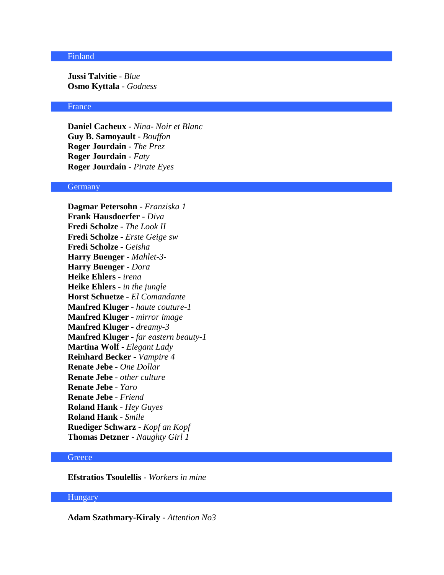# Finland

**Jussi Talvitie** - *Blue* **Osmo Kyttala** - *Godness*

#### France

**Daniel Cacheux** - *Nina- Noir et Blanc* **Guy B. Samoyault** - *Bouffon* **Roger Jourdain** - *The Prez* **Roger Jourdain** - *Faty* **Roger Jourdain** - *Pirate Eyes*

#### Germany

**Dagmar Petersohn** - *Franziska 1* **Frank Hausdoerfer** - *Diva* **Fredi Scholze** - *The Look II* **Fredi Scholze** - *Erste Geige sw* **Fredi Scholze** - *Geisha* **Harry Buenger** - *Mahlet-3-* **Harry Buenger** - *Dora* **Heike Ehlers** - *irena* **Heike Ehlers** - *in the jungle* **Horst Schuetze** - *El Comandante* **Manfred Kluger** - *haute couture-1* **Manfred Kluger** - *mirror image* **Manfred Kluger** - *dreamy-3* **Manfred Kluger** - *far eastern beauty-1* **Martina Wolf** - *Elegant Lady* **Reinhard Becker** - *Vampire 4* **Renate Jebe** - *One Dollar* **Renate Jebe** - *other culture* **Renate Jebe** - *Yaro* **Renate Jebe** - *Friend* **Roland Hank** - *Hey Guyes* **Roland Hank** - *Smile* **Ruediger Schwarz** - *Kopf an Kopf* **Thomas Detzner** - *Naughty Girl 1*

# **Greece**

**Efstratios Tsoulellis** - *Workers in mine*

# Hungary

**Adam Szathmary-Kiraly** - *Attention No3*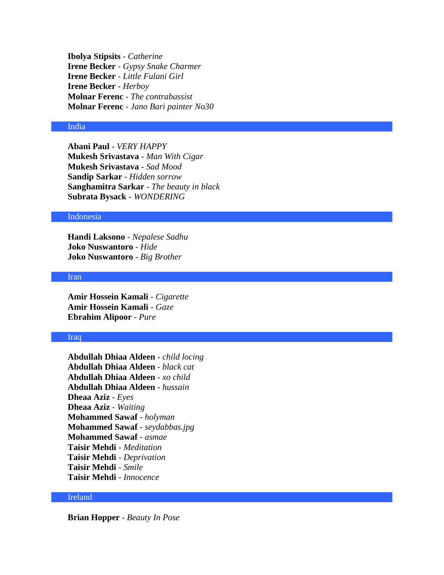**Ibolya Stipsits** - *Catherine* **Irene Becker** - *Gypsy Snake Charmer* **Irene Becker** - *Little Fulani Girl* **Irene Becker** - *Herboy* **Molnar Ferenc** - *The contrabassist* **Molnar Ferenc** - *Jano Bari painter No30*

# India

**Abani Paul** - *VERY HAPPY* **Mukesh Srivastava** - *Man With Cigar* **Mukesh Srivastava** - *Sad Mood* **Sandip Sarkar** - *Hidden sorrow* **Sanghamitra Sarkar** - *The beauty in black* **Subrata Bysack** - *WONDERING*

#### Indonesia

**Handi Laksono** - *Nepalese Sadhu* **Joko Nuswantoro** - *Hide* **Joko Nuswantoro** - *Big Brother*

#### Iran

**Amir Hossein Kamali** - *Cigarette* **Amir Hossein Kamali** - *Gaze* **Ebrahim Alipoor** - *Pure*

#### Iraq

**Abdullah Dhiaa Aldeen** - *child locing* **Abdullah Dhiaa Aldeen** - *black cat* **Abdullah Dhiaa Aldeen** - *xo child* **Abdullah Dhiaa Aldeen** - *hussain* **Dheaa Aziz** - *Eyes* **Dheaa Aziz** - *Waiting* **Mohammed Sawaf** - *holyman* **Mohammed Sawaf** - *seydabbas.jpg* **Mohammed Sawaf** - *asmae* **Taisir Mehdi** - *Meditation* **Taisir Mehdi** - *Deprivation* **Taisir Mehdi** - *Smile* **Taisir Mehdi** - *Innocence*

# Ireland

**Brian Hopper** - *Beauty In Pose*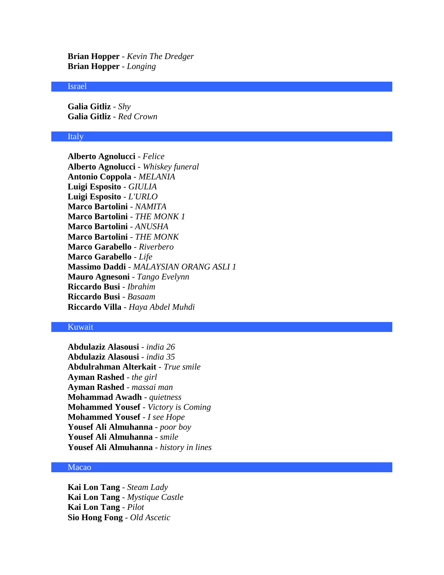**Brian Hopper** - *Kevin The Dredger* **Brian Hopper** - *Longing*

#### Israel

**Galia Gitliz** - *Shy* **Galia Gitliz** - *Red Crown*

#### Italy

**Alberto Agnolucci** - *Felice* **Alberto Agnolucci** - *Whiskey funeral* **Antonio Coppola** - *MELANIA* **Luigi Esposito** - *GIULIA* **Luigi Esposito** - *L'URLO* **Marco Bartolini** - *NAMITA* **Marco Bartolini** - *THE MONK 1* **Marco Bartolini** - *ANUSHA* **Marco Bartolini** - *THE MONK* **Marco Garabello** - *Riverbero* **Marco Garabello** - *Life* **Massimo Daddi** - *MALAYSIAN ORANG ASLI 1* **Mauro Agnesoni** - *Tango Evelynn* **Riccardo Busi** - *Ibrahim* **Riccardo Busi** - *Basaam* **Riccardo Villa** - *Haya Abdel Muhdi*

# Kuwait

**Abdulaziz Alasousi** - *india 26* **Abdulaziz Alasousi** - *india 35* **Abdulrahman Alterkait** - *True smile* **Ayman Rashed** - *the girl* **Ayman Rashed** - *massai man* **Mohammad Awadh** - *quietness* **Mohammed Yousef** - *Victory is Coming* **Mohammed Yousef** - *I see Hope* **Yousef Ali Almuhanna** - *poor boy* **Yousef Ali Almuhanna** - *smile* **Yousef Ali Almuhanna** - *history in lines*

# Macao

**Kai Lon Tang** - *Steam Lady* **Kai Lon Tang** - *Mystique Castle* **Kai Lon Tang** - *Pilot* **Sio Hong Fong** - *Old Ascetic*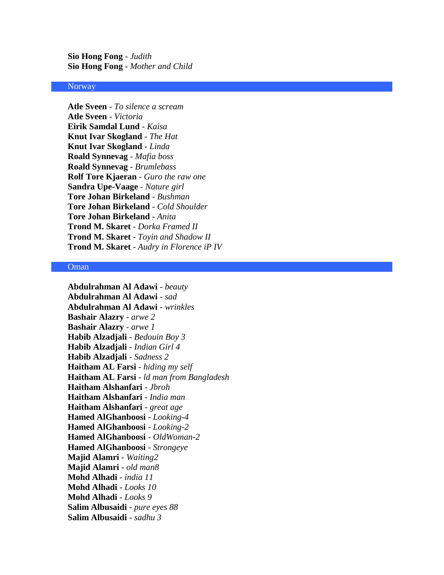**Sio Hong Fong** - *Judith* **Sio Hong Fong** - *Mother and Child*

#### **Norway**

**Atle Sveen** - *To silence a scream* **Atle Sveen** - *Victoria* **Eirik Samdal Lund** - *Kaisa* **Knut Ivar Skogland** - *The Hat* **Knut Ivar Skogland** - *Linda* **Roald Synnevag** - *Mafia boss* **Roald Synnevag** - *Brumlebass* **Rolf Tore Kjaeran** - *Guro the raw one* **Sandra Upe-Vaage** - *Nature girl* **Tore Johan Birkeland** - *Bushman* **Tore Johan Birkeland** - *Cold Shoulder* **Tore Johan Birkeland** - *Anita* **Trond M. Skaret** - *Dorka Framed II* **Trond M. Skaret** - *Toyin and Shadow II* **Trond M. Skaret** - *Audry in Florence iP IV*

## Oman

**Abdulrahman Al Adawi** - *beauty* **Abdulrahman Al Adawi** - *sad* **Abdulrahman Al Adawi** - *wrinkles* **Bashair Alazry** - *arwe 2* **Bashair Alazry** - *arwe 1* **Habib Alzadjali** - *Bedouin Boy 3* **Habib Alzadjali** - *Indian Girl 4* **Habib Alzadjali** - *Sadness 2* **Haitham AL Farsi** - *hiding my self* **Haitham AL Farsi** - *ld man from Bangladesh* **Haitham Alshanfari** - *Jbroh* **Haitham Alshanfari** - *India man* **Haitham Alshanfari** - *great age* **Hamed AlGhanboosi** - *Looking-4* **Hamed AlGhanboosi** - *Looking-2* **Hamed AlGhanboosi** - *OldWoman-2* **Hamed AlGhanboosi** - *Strongeye* **Majid Alamri** - *Waiting2* **Majid Alamri** - *old man8* **Mohd Alhadi** - *india 11* **Mohd Alhadi** - *Looks 10* **Mohd Alhadi** - *Looks 9* **Salim Albusaidi** - *pure eyes 88* **Salim Albusaidi** - *sadhu 3*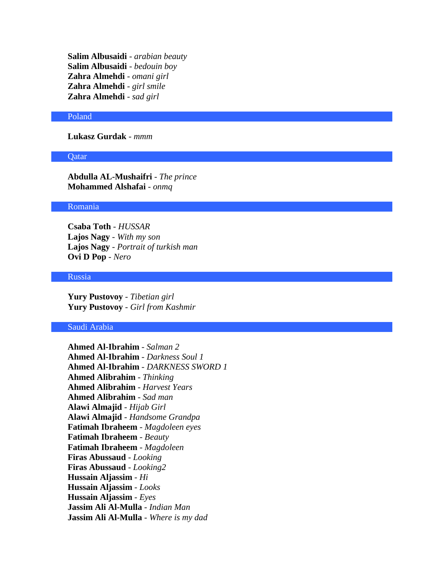**Salim Albusaidi** - *arabian beauty* **Salim Albusaidi** - *bedouin boy* **Zahra Almehdi** - *omani girl* **Zahra Almehdi** - *girl smile* **Zahra Almehdi** - *sad girl*

#### Poland

**Lukasz Gurdak** - *mmm*

#### Qatar

**Abdulla AL-Mushaifri** - *The prince* **Mohammed Alshafai** - *onmq*

#### Romania

**Csaba Toth** - *HUSSAR* **Lajos Nagy** - *With my son* **Lajos Nagy** - *Portrait of turkish man* **Ovi D Pop** - *Nero*

# Russia

**Yury Pustovoy** - *Tibetian girl* **Yury Pustovoy** - *Girl from Kashmir*

#### Saudi Arabia

**Ahmed Al-Ibrahim** - *Salman 2* **Ahmed Al-Ibrahim** - *Darkness Soul 1* **Ahmed Al-Ibrahim** - *DARKNESS SWORD 1* **Ahmed Alibrahim** - *Thinking* **Ahmed Alibrahim** - *Harvest Years* **Ahmed Alibrahim** - *Sad man* **Alawi Almajid** - *Hijab Girl* **Alawi Almajid** - *Handsome Grandpa* **Fatimah Ibraheem** - *Magdoleen eyes* **Fatimah Ibraheem** - *Beauty* **Fatimah Ibraheem** - *Magdoleen* **Firas Abussaud** - *Looking* **Firas Abussaud** - *Looking2* **Hussain Aljassim** - *Hi* **Hussain Aljassim** - *Looks* **Hussain Aljassim** - *Eyes* **Jassim Ali Al-Mulla** - *Indian Man* **Jassim Ali Al-Mulla** - *Where is my dad*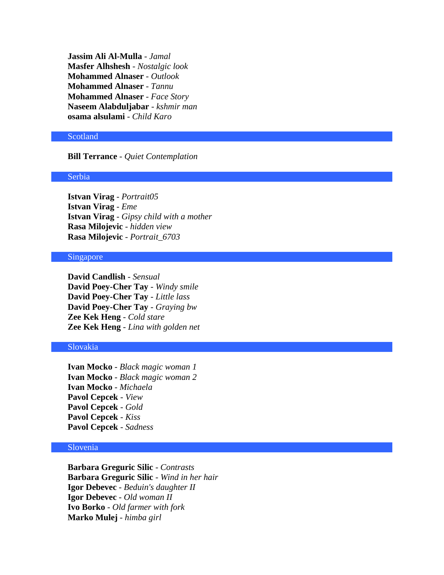**Jassim Ali Al-Mulla** - *Jamal* **Masfer Alhshesh** - *Nostalgic look* **Mohammed Alnaser** - *Outlook* **Mohammed Alnaser** - *Tannu* **Mohammed Alnaser** - *Face Story* **Naseem Alabduljabar** - *kshmir man* **osama alsulami** - *Child Karo*

#### **Scotland**

# **Bill Terrance** - *Quiet Contemplation*

# Serbia

**Istvan Virag** - *Portrait05* **Istvan Virag** - *Eme* **Istvan Virag** - *Gipsy child with a mother* **Rasa Milojevic** - *hidden view* **Rasa Milojevic** - *Portrait\_6703*

# Singapore

**David Candlish** - *Sensual* **David Poey-Cher Tay** - *Windy smile* **David Poey-Cher Tay** - *Little lass* **David Poey-Cher Tay** - *Graying bw* **Zee Kek Heng** - *Cold stare* **Zee Kek Heng** - *Lina with golden net*

# Slovakia

**Ivan Mocko** - *Black magic woman 1* **Ivan Mocko** - *Black magic woman 2* **Ivan Mocko** - *Michaela* **Pavol Cepcek** - *View* **Pavol Cepcek** - *Gold* **Pavol Cepcek** - *Kiss* **Pavol Cepcek** - *Sadness*

# Slovenia

**Barbara Greguric Silic** - *Contrasts* **Barbara Greguric Silic** - *Wind in her hair* **Igor Debevec** - *Beduin's daughter II* **Igor Debevec** - *Old woman II* **Ivo Borko** - *Old farmer with fork* **Marko Mulej** - *himba girl*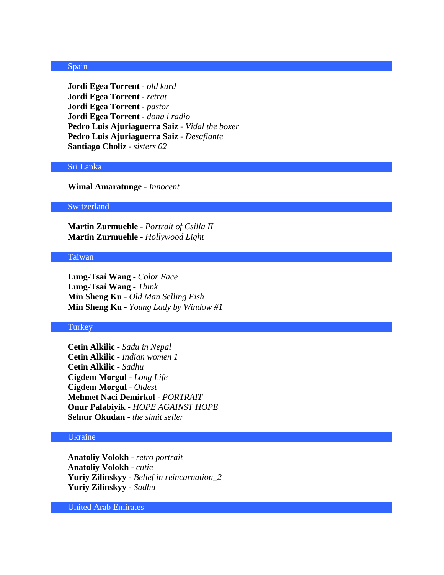#### Spain

**Jordi Egea Torrent** - *old kurd* **Jordi Egea Torrent** - *retrat* **Jordi Egea Torrent** - *pastor* **Jordi Egea Torrent** - *dona i radio* **Pedro Luis Ajuriaguerra Saiz** - *Vidal the boxer* **Pedro Luis Ajuriaguerra Saiz** - *Desafiante* **Santiago Choliz** - *sisters 02*

#### Sri Lanka

**Wimal Amaratunge** - *Innocent*

#### Switzerland

**Martin Zurmuehle** - *Portrait of Csilla II* **Martin Zurmuehle** - *Hollywood Light*

# Taiwan

**Lung-Tsai Wang** - *Color Face* **Lung-Tsai Wang** - *Think* **Min Sheng Ku** - *Old Man Selling Fish* **Min Sheng Ku** - *Young Lady by Window #1*

# Turkey

**Cetin Alkilic** - *Sadu in Nepal* **Cetin Alkilic** - *Indian women 1* **Cetin Alkilic** - *Sadhu* **Cigdem Morgul** - *Long Life* **Cigdem Morgul** - *Oldest* **Mehmet Naci Demirkol** - *PORTRAIT* **Onur Palabiyik** - *HOPE AGAINST HOPE* **Selnur Okudan** - *the simit seller*

# Ukraine

**Anatoliy Volokh** - *retro portrait* **Anatoliy Volokh** - *cutie* **Yuriy Zilinskyy** - *Belief in reincarnation\_2* **Yuriy Zilinskyy** - *Sadhu*

United Arab Emirates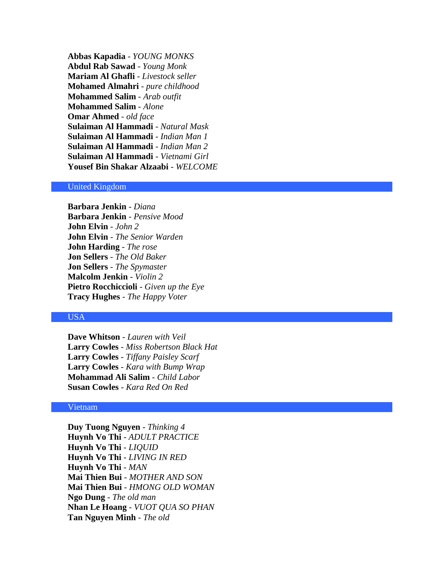**Abbas Kapadia** - *YOUNG MONKS* **Abdul Rab Sawad** - *Young Monk* **Mariam Al Ghafli** - *Livestock seller* **Mohamed Almahri** - *pure childhood* **Mohammed Salim** - *Arab outfit* **Mohammed Salim** - *Alone* **Omar Ahmed** - *old face* **Sulaiman Al Hammadi** - *Natural Mask* **Sulaiman Al Hammadi** - *Indian Man 1* **Sulaiman Al Hammadi** - *Indian Man 2* **Sulaiman Al Hammadi** - *Vietnami Girl* **Yousef Bin Shakar Alzaabi** - *WELCOME*

# United Kingdom

**Barbara Jenkin** - *Diana* **Barbara Jenkin** - *Pensive Mood* **John Elvin** - *John 2* **John Elvin** - *The Senior Warden* **John Harding** - *The rose* **Jon Sellers** - *The Old Baker* **Jon Sellers** - *The Spymaster* **Malcolm Jenkin** - *Violin 2* **Pietro Rocchiccioli** - *Given up the Eye* **Tracy Hughes** - *The Happy Voter*

# USA

**Dave Whitson** - *Lauren with Veil* **Larry Cowles** - *Miss Robertson Black Hat* **Larry Cowles** - *Tiffany Paisley Scarf* **Larry Cowles** - *Kara with Bump Wrap* **Mohammad Ali Salim** - *Child Labor* **Susan Cowles** - *Kara Red On Red*

#### Vietnam

**Duy Tuong Nguyen** - *Thinking 4* **Huynh Vo Thi** - *ADULT PRACTICE* **Huynh Vo Thi** - *LIQUID* **Huynh Vo Thi** - *LIVING IN RED* **Huynh Vo Thi** - *MAN* **Mai Thien Bui** - *MOTHER AND SON* **Mai Thien Bui** - *HMONG OLD WOMAN* **Ngo Dung** - *The old man* **Nhan Le Hoang** - *VUOT QUA SO PHAN* **Tan Nguyen Minh** - *The old*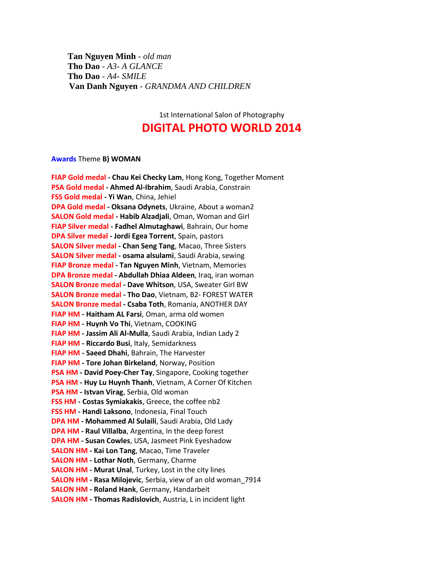**Tan Nguyen Minh** - *old man* **Tho Dao** - *A3- A GLANCE* **Tho Dao** - *A4- SMILE* **Van Danh Nguyen** - *GRANDMA AND CHILDREN*

1st International Salon of Photography

# **DIGITAL PHOTO WORLD 2014**

#### **Awards** Theme **B) WOMAN**

**FIAP Gold medal - Chau Kei Checky Lam**, Hong Kong, Together Moment **PSA Gold medal - Ahmed Al-Ibrahim**, Saudi Arabia, Constrain **FSS Gold medal - Yi Wan**, China, Jehiel **DPA Gold medal - Oksana Odynets**, Ukraine, About a woman2 **SALON Gold medal - Habib Alzadjali**, Oman, Woman and Girl **FIAP Silver medal - Fadhel Almutaghawi**, Bahrain, Our home **DPA Silver medal - Jordi Egea Torrent**, Spain, pastors **SALON Silver medal - Chan Seng Tang**, Macao, Three Sisters **SALON Silver medal - osama alsulami**, Saudi Arabia, sewing **FIAP Bronze medal - Tan Nguyen Minh**, Vietnam, Memories **DPA Bronze medal - Abdullah Dhiaa Aldeen**, Iraq, iran woman **SALON Bronze medal - Dave Whitson**, USA, Sweater Girl BW **SALON Bronze medal - Tho Dao**, Vietnam, B2- FOREST WATER **SALON Bronze medal - Csaba Toth**, Romania, ANOTHER DAY **FIAP HM - Haitham AL Farsi**, Oman, arma old women **FIAP HM - Huynh Vo Thi**, Vietnam, COOKING **FIAP HM - Jassim Ali Al-Mulla**, Saudi Arabia, Indian Lady 2 **FIAP HM - Riccardo Busi**, Italy, Semidarkness **FIAP HM - Saeed Dhahi**, Bahrain, The Harvester **FIAP HM - Tore Johan Birkeland**, Norway, Position **PSA HM - David Poey-Cher Tay**, Singapore, Cooking together **PSA HM - Huy Lu Huynh Thanh**, Vietnam, A Corner Of Kitchen **PSA HM - Istvan Virag**, Serbia, Old woman **FSS HM - Costas Symiakakis**, Greece, the coffee nb2 **FSS HM - Handi Laksono**, Indonesia, Final Touch **DPA HM - Mohammed Al Sulaili**, Saudi Arabia, Old Lady **DPA HM - Raul Villalba**, Argentina, In the deep forest **DPA HM - Susan Cowles**, USA, Jasmeet Pink Eyeshadow **SALON HM - Kai Lon Tang**, Macao, Time Traveler **SALON HM - Lothar Noth**, Germany, Charme **SALON HM - Murat Unal**, Turkey, Lost in the city lines **SALON HM - Rasa Milojevic**, Serbia, view of an old woman\_7914 **SALON HM - Roland Hank**, Germany, Handarbeit **SALON HM - Thomas Radislovich**, Austria, L in incident light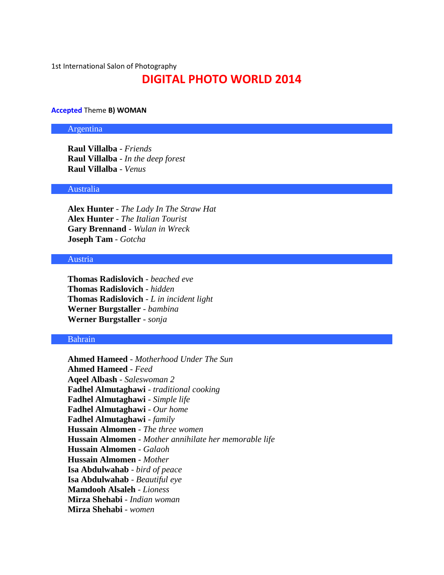1st International Salon of Photography

# **DIGITAL PHOTO WORLD 2014**

#### **Accepted** Theme **B) WOMAN**

#### Argentina

**Raul Villalba** - *Friends* **Raul Villalba** - *In the deep forest* **Raul Villalba** - *Venus*

#### Australia

**Alex Hunter** - *The Lady In The Straw Hat* **Alex Hunter** - *The Italian Tourist* **Gary Brennand** - *Wulan in Wreck* **Joseph Tam** - *Gotcha*

# Austria

**Thomas Radislovich** - *beached eve* **Thomas Radislovich** - *hidden* **Thomas Radislovich** - *L in incident light* **Werner Burgstaller** - *bambina* **Werner Burgstaller** - *sonja*

# Bahrain

**Ahmed Hameed** - *Motherhood Under The Sun* **Ahmed Hameed** - *Feed* **Aqeel Albash** - *Saleswoman 2* **Fadhel Almutaghawi** - *traditional cooking* **Fadhel Almutaghawi** - *Simple life* **Fadhel Almutaghawi** - *Our home* **Fadhel Almutaghawi** - *family* **Hussain Almomen** - *The three women* **Hussain Almomen** - *Mother annihilate her memorable life* **Hussain Almomen** - *Galaoh* **Hussain Almomen** - *Mother* **Isa Abdulwahab** - *bird of peace* **Isa Abdulwahab** - *Beautiful eye* **Mamdooh Alsaleh** - *Lioness* **Mirza Shehabi** - *Indian woman* **Mirza Shehabi** - *women*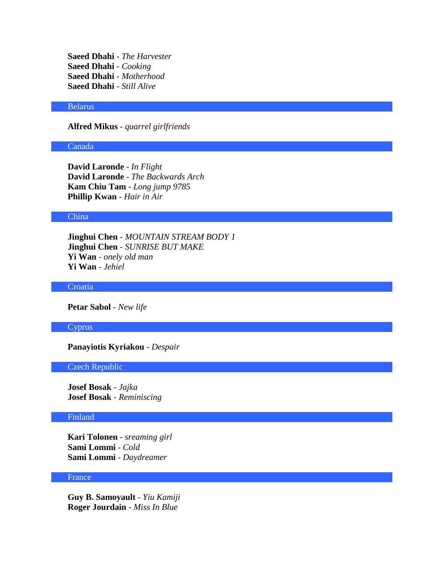**Saeed Dhahi** - *The Harvester* **Saeed Dhahi** - *Cooking* **Saeed Dhahi** - *Motherhood* **Saeed Dhahi** - *Still Alive*

#### Belarus

**Alfred Mikus** - *quarrel girlfriends*

# Canada

**David Laronde** - *In Flight* **David Laronde** - *The Backwards Arch* **Kam Chiu Tam** - *Long jump 9785* **Phillip Kwan** - *Hair in Air*

#### China

**Jinghui Chen** - *MOUNTAIN STREAM BODY 1* **Jinghui Chen** - *SUNRISE BUT MAKE* **Yi Wan** - *onely old man* **Yi Wan** - *Jehiel*

**Croatia** 

**Petar Sabol** - *New life*

#### **Cyprus**

# **Panayiotis Kyriakou** - *Despair*

# Czech Republic

**Josef Bosak** - *Jajka* **Josef Bosak** - *Reminiscing*

# Finland

**Kari Tolonen** - *sreaming girl* **Sami Lommi** - *Cold* **Sami Lommi** - *Daydreamer*

#### France

**Guy B. Samoyault** - *Yiu Kamiji* **Roger Jourdain** - *Miss In Blue*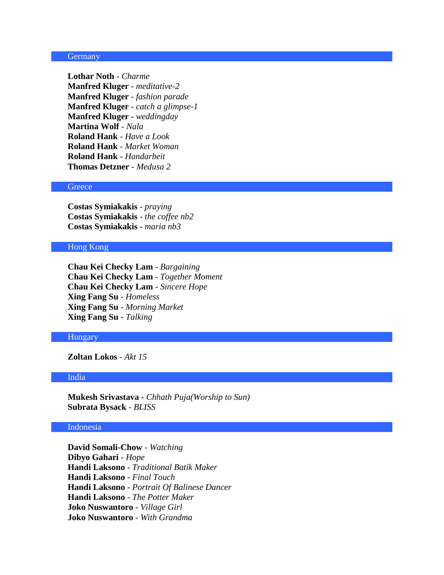#### **Germany**

**Lothar Noth** - *Charme* **Manfred Kluger** - *meditative-2* **Manfred Kluger** - *fashion parade* **Manfred Kluger** - *catch a glimpse-1* **Manfred Kluger** - *weddingday* **Martina Wolf** - *Nala* **Roland Hank** - *Have a Look* **Roland Hank** - *Market Woman* **Roland Hank** - *Handarbeit* **Thomas Detzner** - *Medusa 2*

# **Greece**

**Costas Symiakakis** - *praying* **Costas Symiakakis** - *the coffee nb2* **Costas Symiakakis** - *maria nb3*

#### Hong Kong

**Chau Kei Checky Lam** - *Bargaining* **Chau Kei Checky Lam** - *Together Moment* **Chau Kei Checky Lam** - *Sincere Hope* **Xing Fang Su** - *Homeless* **Xing Fang Su** - *Morning Market* **Xing Fang Su** - *Talking*

#### Hungary

**Zoltan Lokos** - *Akt 15*

#### India

**Mukesh Srivastava** - *Chhath Puja(Worship to Sun)* **Subrata Bysack** - *BLISS*

# Indonesia

**David Somali-Chow** - *Watching* **Dibyo Gahari** - *Hope* **Handi Laksono** - *Traditional Batik Maker* **Handi Laksono** - *Final Touch* **Handi Laksono** - *Portrait Of Balinese Dancer* **Handi Laksono** - *The Potter Maker* **Joko Nuswantoro** - *Village Girl* **Joko Nuswantoro** - *With Grandma*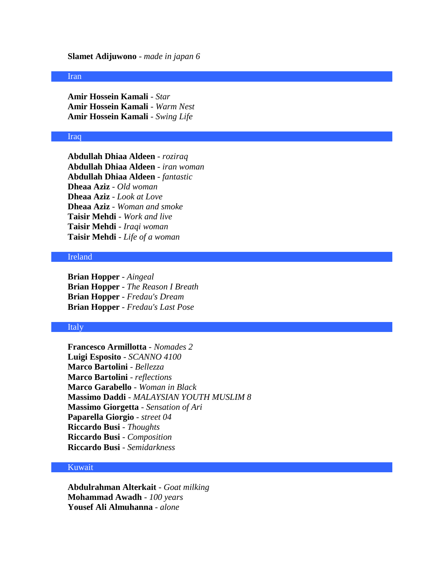#### **Slamet Adijuwono** - *made in japan 6*

#### Iran

**Amir Hossein Kamali** - *Star* **Amir Hossein Kamali** - *Warm Nest* **Amir Hossein Kamali** - *Swing Life*

#### Iraq

**Abdullah Dhiaa Aldeen** - *roziraq* **Abdullah Dhiaa Aldeen** - *iran woman* **Abdullah Dhiaa Aldeen** - *fantastic* **Dheaa Aziz** - *Old woman* **Dheaa Aziz** - *Look at Love* **Dheaa Aziz** - *Woman and smoke* **Taisir Mehdi** - *Work and live* **Taisir Mehdi** - *Iraqi woman* **Taisir Mehdi** - *Life of a woman*

# Ireland

**Brian Hopper** - *Aingeal* **Brian Hopper** - *The Reason I Breath* **Brian Hopper** - *Fredau's Dream* **Brian Hopper** - *Fredau's Last Pose*

# Italy

**Francesco Armillotta** - *Nomades 2* **Luigi Esposito** - *SCANNO 4100* **Marco Bartolini** - *Bellezza* **Marco Bartolini** - *reflections* **Marco Garabello** - *Woman in Black* **Massimo Daddi** - *MALAYSIAN YOUTH MUSLIM 8* **Massimo Giorgetta** - *Sensation of Ari* **Paparella Giorgio** - *street 04* **Riccardo Busi** - *Thoughts* **Riccardo Busi** - *Composition* **Riccardo Busi** - *Semidarkness*

# Kuwait

**Abdulrahman Alterkait** - *Goat milking* **Mohammad Awadh** - *100 years* **Yousef Ali Almuhanna** - *alone*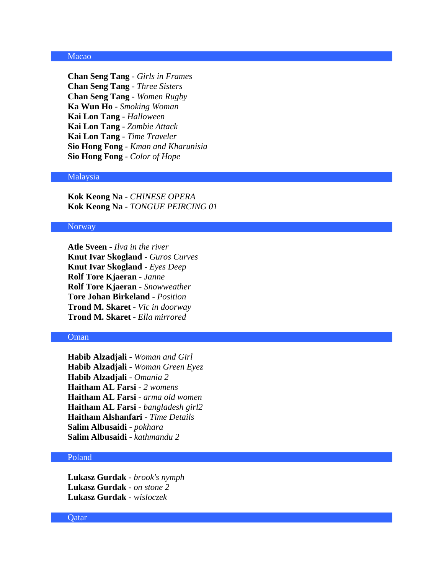# Macao

**Chan Seng Tang** - *Girls in Frames* **Chan Seng Tang** - *Three Sisters* **Chan Seng Tang** - *Women Rugby* **Ka Wun Ho** - *Smoking Woman* **Kai Lon Tang** - *Halloween* **Kai Lon Tang** - *Zombie Attack* **Kai Lon Tang** - *Time Traveler* **Sio Hong Fong** - *Kman and Kharunisia* **Sio Hong Fong** - *Color of Hope*

### Malaysia

**Kok Keong Na** - *CHINESE OPERA* **Kok Keong Na** - *TONGUE PEIRCING 01*

#### Norway

**Atle Sveen** - *Ilva in the river* **Knut Ivar Skogland** - *Guros Curves* **Knut Ivar Skogland** - *Eyes Deep* **Rolf Tore Kjaeran** - *Janne* **Rolf Tore Kjaeran** - *Snowweather* **Tore Johan Birkeland** - *Position* **Trond M. Skaret** - *Vic in doorway* **Trond M. Skaret** - *Ella mirrored*

#### Oman

**Habib Alzadjali** - *Woman and Girl* **Habib Alzadjali** - *Woman Green Eyez* **Habib Alzadjali** - *Omania 2* **Haitham AL Farsi** - *2 womens* **Haitham AL Farsi** - *arma old women* **Haitham AL Farsi** - *bangladesh girl2* **Haitham Alshanfari** - *Time Details* **Salim Albusaidi** - *pokhara* **Salim Albusaidi** - *kathmandu 2*

# Poland

**Lukasz Gurdak** - *brook's nymph* **Lukasz Gurdak** - *on stone 2* **Lukasz Gurdak** - *wisloczek*

#### **Oatar**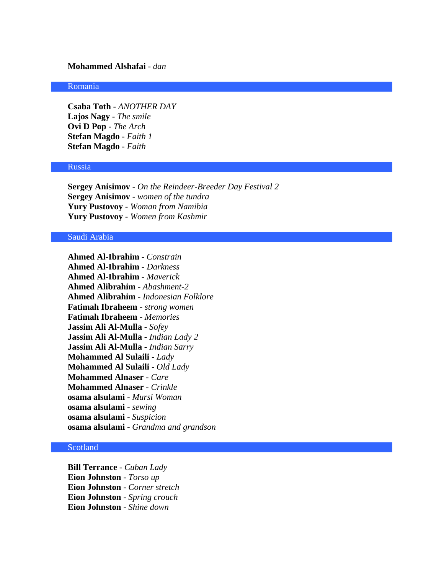# **Mohammed Alshafai** - *dan*

# Romania

**Csaba Toth** - *ANOTHER DAY* **Lajos Nagy** - *The smile* **Ovi D Pop** - *The Arch* **Stefan Magdo** - *Faith 1* **Stefan Magdo** - *Faith*

#### Russia

**Sergey Anisimov** - *On the Reindeer-Breeder Day Festival 2* **Sergey Anisimov** - *women of the tundra* **Yury Pustovoy** - *Woman from Namibia* **Yury Pustovoy** - *Women from Kashmir*

#### Saudi Arabia

**Ahmed Al-Ibrahim** - *Constrain* **Ahmed Al-Ibrahim** - *Darkness* **Ahmed Al-Ibrahim** - *Maverick* **Ahmed Alibrahim** - *Abashment-2* **Ahmed Alibrahim** - *Indonesian Folklore* **Fatimah Ibraheem** - *strong women* **Fatimah Ibraheem** - *Memories* **Jassim Ali Al-Mulla** - *Sofey* **Jassim Ali Al-Mulla** - *Indian Lady 2* **Jassim Ali Al-Mulla** - *Indian Sarry* **Mohammed Al Sulaili** - *Lady* **Mohammed Al Sulaili** - *Old Lady* **Mohammed Alnaser** - *Care* **Mohammed Alnaser** - *Crinkle* **osama alsulami** - *Mursi Woman* **osama alsulami** - *sewing* **osama alsulami** - *Suspicion* **osama alsulami** - *Grandma and grandson*

# Scotland

**Bill Terrance** - *Cuban Lady* **Eion Johnston** - *Torso up* **Eion Johnston** - *Corner stretch* **Eion Johnston** - *Spring crouch* **Eion Johnston** - *Shine down*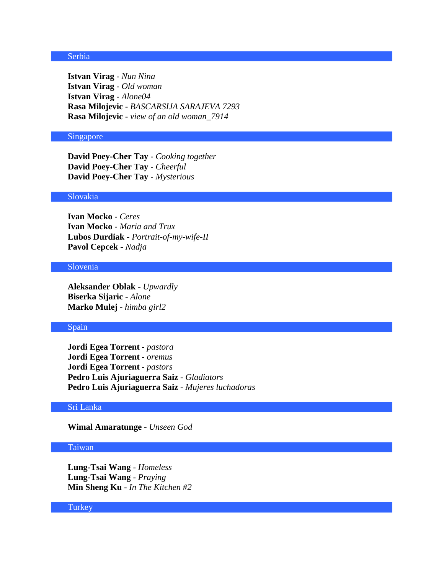# Serbia

**Istvan Virag** - *Nun Nina* **Istvan Virag** - *Old woman* **Istvan Virag** - *Alone04* **Rasa Milojevic** - *BASCARSIJA SARAJEVA 7293* **Rasa Milojevic** - *view of an old woman\_7914*

# Singapore

**David Poey-Cher Tay** - *Cooking together* **David Poey-Cher Tay** - *Cheerful* **David Poey-Cher Tay** - *Mysterious*

# Slovakia

**Ivan Mocko** - *Ceres* **Ivan Mocko** - *Maria and Trux* **Lubos Durdiak** - *Portrait-of-my-wife-II* **Pavol Cepcek** - *Nadja*

# Slovenia

**Aleksander Oblak** - *Upwardly* **Biserka Sijaric** - *Alone* **Marko Mulej** - *himba girl2*

# Spain

**Jordi Egea Torrent** - *pastora* **Jordi Egea Torrent** - *oremus* **Jordi Egea Torrent** - *pastors* **Pedro Luis Ajuriaguerra Saiz** - *Gladiators* **Pedro Luis Ajuriaguerra Saiz** - *Mujeres luchadoras*

# Sri Lanka

**Wimal Amaratunge** - *Unseen God*

# Taiwan

**Lung-Tsai Wang** - *Homeless* **Lung-Tsai Wang** - *Praying* **Min Sheng Ku** - *In The Kitchen #2*

#### **Turkey**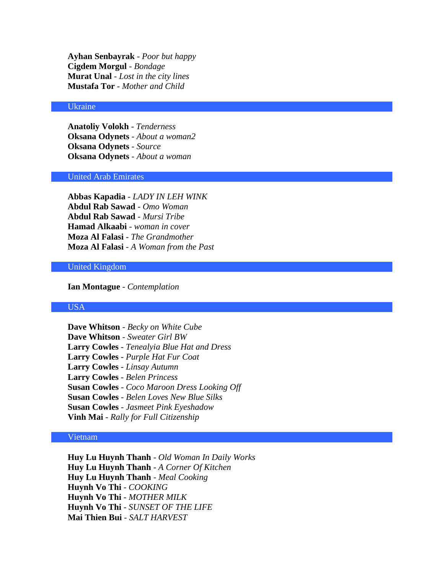**Ayhan Senbayrak** - *Poor but happy* **Cigdem Morgul** - *Bondage* **Murat Unal** - *Lost in the city lines* **Mustafa Tor** - *Mother and Child*

#### Ukraine

**Anatoliy Volokh** - *Tenderness* **Oksana Odynets** - *About a woman2* **Oksana Odynets** - *Source* **Oksana Odynets** - *About a woman*

#### United Arab Emirates

**Abbas Kapadia** - *LADY IN LEH WINK* **Abdul Rab Sawad** - *Omo Woman* **Abdul Rab Sawad** - *Mursi Tribe* **Hamad Alkaabi** - *woman in cover* **Moza Al Falasi** - *The Grandmother* **Moza Al Falasi** - *A Woman from the Past*

# United Kingdom

**Ian Montague** - *Contemplation*

# USA

**Dave Whitson** - *Becky on White Cube* **Dave Whitson** - *Sweater Girl BW* **Larry Cowles** - *Tenealyia Blue Hat and Dress* **Larry Cowles** - *Purple Hat Fur Coat* **Larry Cowles** - *Linsay Autumn* **Larry Cowles** - *Belen Princess* **Susan Cowles** - *Coco Maroon Dress Looking Off* **Susan Cowles** - *Belen Loves New Blue Silks* **Susan Cowles** - *Jasmeet Pink Eyeshadow* **Vinh Mai** - *Rally for Full Citizenship*

# Vietnam

**Huy Lu Huynh Thanh** - *Old Woman In Daily Works* **Huy Lu Huynh Thanh** - *A Corner Of Kitchen* **Huy Lu Huynh Thanh** - *Meal Cooking* **Huynh Vo Thi** - *COOKING* **Huynh Vo Thi** - *MOTHER MILK* **Huynh Vo Thi** - *SUNSET OF THE LIFE* **Mai Thien Bui** - *SALT HARVEST*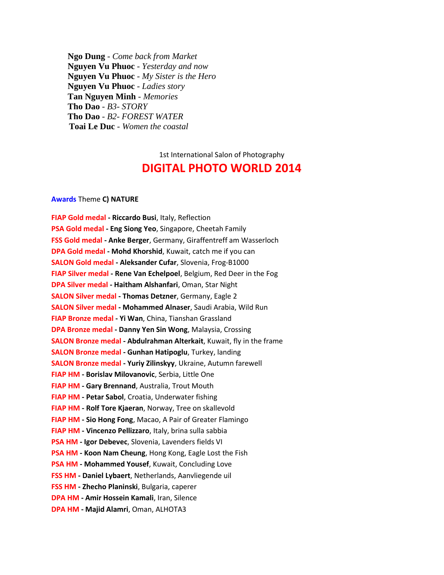**Ngo Dung** - *Come back from Market* **Nguyen Vu Phuoc** - *Yesterday and now* **Nguyen Vu Phuoc** - *My Sister is the Hero* **Nguyen Vu Phuoc** - *Ladies story* **Tan Nguyen Minh** - *Memories* **Tho Dao** - *B3- STORY* **Tho Dao** - *B2- FOREST WATER* **Toai Le Duc** - *Women the coastal*

# 1st International Salon of Photography **DIGITAL PHOTO WORLD 2014**

#### **Awards** Theme **C) NATURE**

**FIAP Gold medal - Riccardo Busi**, Italy, Reflection **PSA Gold medal - Eng Siong Yeo**, Singapore, Cheetah Family **FSS Gold medal - Anke Berger**, Germany, Giraffentreff am Wasserloch **DPA Gold medal - Mohd Khorshid**, Kuwait, catch me if you can **SALON Gold medal - Aleksander Cufar**, Slovenia, Frog-B1000 **FIAP Silver medal - Rene Van Echelpoel**, Belgium, Red Deer in the Fog **DPA Silver medal - Haitham Alshanfari**, Oman, Star Night **SALON Silver medal - Thomas Detzner**, Germany, Eagle 2 **SALON Silver medal - Mohammed Alnaser**, Saudi Arabia, Wild Run **FIAP Bronze medal - Yi Wan**, China, Tianshan Grassland **DPA Bronze medal - Danny Yen Sin Wong**, Malaysia, Crossing **SALON Bronze medal - Abdulrahman Alterkait**, Kuwait, fly in the frame **SALON Bronze medal - Gunhan Hatipoglu**, Turkey, landing **SALON Bronze medal - Yuriy Zilinskyy**, Ukraine, Autumn farewell **FIAP HM - Borislav Milovanovic**, Serbia, Little One **FIAP HM - Gary Brennand**, Australia, Trout Mouth **FIAP HM - Petar Sabol**, Croatia, Underwater fishing **FIAP HM - Rolf Tore Kjaeran**, Norway, Tree on skallevold **FIAP HM - Sio Hong Fong**, Macao, A Pair of Greater Flamingo **FIAP HM - Vincenzo Pellizzaro**, Italy, brina sulla sabbia **PSA HM - Igor Debevec**, Slovenia, Lavenders fields VI **PSA HM - Koon Nam Cheung**, Hong Kong, Eagle Lost the Fish **PSA HM - Mohammed Yousef**, Kuwait, Concluding Love **FSS HM - Daniel Lybaert**, Netherlands, Aanvliegende uil **FSS HM - Zhecho Planinski**, Bulgaria, caperer **DPA HM - Amir Hossein Kamali**, Iran, Silence **DPA HM - Majid Alamri**, Oman, ALHOTA3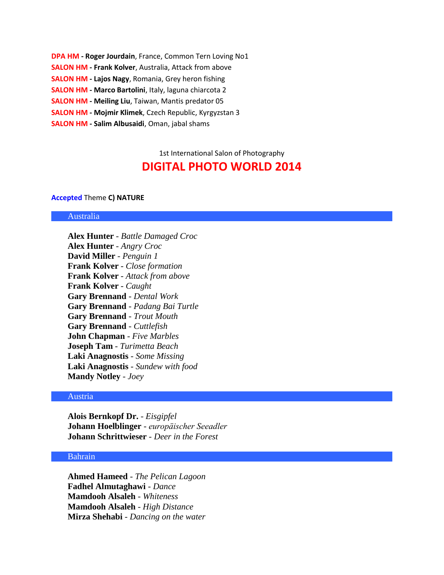**DPA HM - Roger Jourdain**, France, Common Tern Loving No1 **SALON HM - Frank Kolver**, Australia, Attack from above **SALON HM - Lajos Nagy**, Romania, Grey heron fishing **SALON HM - Marco Bartolini**, Italy, laguna chiarcota 2 **SALON HM - Meiling Liu**, Taiwan, Mantis predator 05 **SALON HM - Mojmir Klimek**, Czech Republic, Kyrgyzstan 3 **SALON HM - Salim Albusaidi**, Oman, jabal shams

> 1st International Salon of Photography **DIGITAL PHOTO WORLD 2014**

#### **Accepted** Theme **C) NATURE**

#### Australia

**Alex Hunter** - *Battle Damaged Croc* **Alex Hunter** - *Angry Croc* **David Miller** - *Penguin 1* **Frank Kolver** - *Close formation* **Frank Kolver** - *Attack from above* **Frank Kolver** - *Caught* **Gary Brennand** - *Dental Work* **Gary Brennand** - *Padang Bai Turtle* **Gary Brennand** - *Trout Mouth* **Gary Brennand** - *Cuttlefish* **John Chapman** - *Five Marbles* **Joseph Tam** - *Turimetta Beach* **Laki Anagnostis** - *Some Missing* **Laki Anagnostis** - *Sundew with food* **Mandy Notley** - *Joey*

#### Austria

**Alois Bernkopf Dr.** - *Eisgipfel* **Johann Hoelblinger** - *europäischer Seeadler* **Johann Schrittwieser** - *Deer in the Forest*

# Bahrain

**Ahmed Hameed** - *The Pelican Lagoon* **Fadhel Almutaghawi** - *Dance* **Mamdooh Alsaleh** - *Whiteness* **Mamdooh Alsaleh** - *High Distance* **Mirza Shehabi** - *Dancing on the water*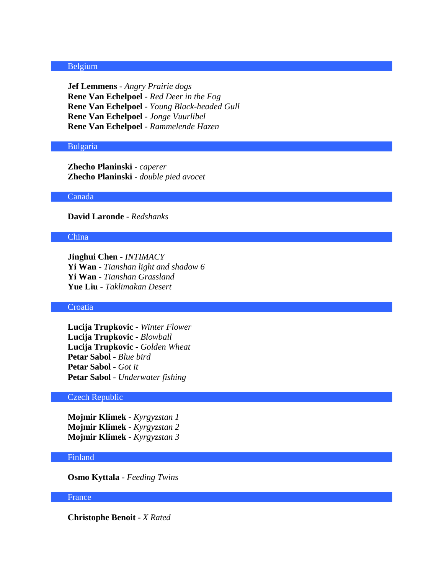# Belgium

**Jef Lemmens** - *Angry Prairie dogs* **Rene Van Echelpoel** - *Red Deer in the Fog* **Rene Van Echelpoel** - *Young Black-headed Gull* **Rene Van Echelpoel** - *Jonge Vuurlibel* **Rene Van Echelpoel** - *Rammelende Hazen*

#### Bulgaria

**Zhecho Planinski** - *caperer* **Zhecho Planinski** - *double pied avocet*

# Canada

**David Laronde** - *Redshanks*

# China

**Jinghui Chen** - *INTIMACY* **Yi Wan** - *Tianshan light and shadow 6* **Yi Wan** - *Tianshan Grassland* **Yue Liu** - *Taklimakan Desert*

### **Croatia**

**Lucija Trupkovic** - *Winter Flower* **Lucija Trupkovic** - *Blowball* **Lucija Trupkovic** - *Golden Wheat* **Petar Sabol** - *Blue bird* **Petar Sabol** - *Got it* **Petar Sabol** - *Underwater fishing*

#### Czech Republic

**Mojmir Klimek** - *Kyrgyzstan 1* **Mojmir Klimek** - *Kyrgyzstan 2* **Mojmir Klimek** - *Kyrgyzstan 3*

# Finland

**Osmo Kyttala** - *Feeding Twins*

#### France

**Christophe Benoit** - *X Rated*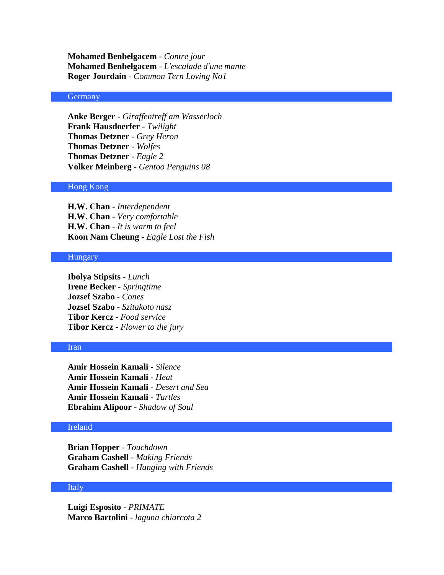**Mohamed Benbelgacem** - *Contre jour* **Mohamed Benbelgacem** - *L'escalade d'une mante* **Roger Jourdain** - *Common Tern Loving No1*

# **Germany**

**Anke Berger** - *Giraffentreff am Wasserloch* **Frank Hausdoerfer** - *Twilight* **Thomas Detzner** - *Grey Heron* **Thomas Detzner** - *Wolfes* **Thomas Detzner** - *Eagle 2* **Volker Meinberg** - *Gentoo Penguins 08*

# Hong Kong

**H.W. Chan** - *Interdependent* **H.W. Chan** - *Very comfortable* **H.W. Chan** - *It is warm to feel* **Koon Nam Cheung** - *Eagle Lost the Fish*

#### Hungary

**Ibolya Stipsits** - *Lunch* **Irene Becker** - *Springtime* **Jozsef Szabo** - *Cones* **Jozsef Szabo** - *Szitakoto nasz* **Tibor Kercz** - *Food service* **Tibor Kercz** - *Flower to the jury*

#### Iran

**Amir Hossein Kamali** - *Silence* **Amir Hossein Kamali** - *Heat* **Amir Hossein Kamali** - *Desert and Sea* **Amir Hossein Kamali** - *Turtles* **Ebrahim Alipoor** - *Shadow of Soul*

# Ireland

**Brian Hopper** - *Touchdown* **Graham Cashell** - *Making Friends* **Graham Cashell** - *Hanging with Friends*

# Italy

**Luigi Esposito** - *PRIMATE* **Marco Bartolini** - *laguna chiarcota 2*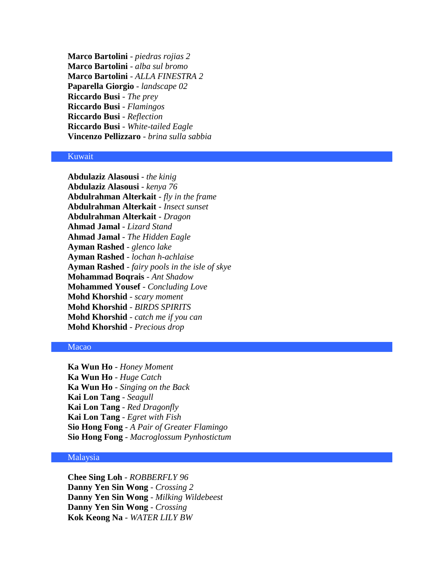**Marco Bartolini** - *piedras rojias 2* **Marco Bartolini** - *alba sul bromo* **Marco Bartolini** - *ALLA FINESTRA 2* **Paparella Giorgio** - *landscape 02* **Riccardo Busi** - *The prey* **Riccardo Busi** - *Flamingos* **Riccardo Busi** - *Reflection* **Riccardo Busi** - *White-tailed Eagle* **Vincenzo Pellizzaro** - *brina sulla sabbia*

# Kuwait

**Abdulaziz Alasousi** - *the kinig* **Abdulaziz Alasousi** - *kenya 76* **Abdulrahman Alterkait** - *fly in the frame* **Abdulrahman Alterkait** - *Insect sunset* **Abdulrahman Alterkait** - *Dragon* **Ahmad Jamal** - *Lizard Stand* **Ahmad Jamal** - *The Hidden Eagle* **Ayman Rashed** - *glenco lake* **Ayman Rashed** - *lochan h-achlaise* **Ayman Rashed** - *fairy pools in the isle of skye* **Mohammad Boqrais** - *Ant Shadow* **Mohammed Yousef** - *Concluding Love* **Mohd Khorshid** - *scary moment* **Mohd Khorshid** - *BIRDS SPIRITS* **Mohd Khorshid** - *catch me if you can* **Mohd Khorshid** - *Precious drop*

# Macao

**Ka Wun Ho** - *Honey Moment* **Ka Wun Ho** - *Huge Catch* **Ka Wun Ho** - *Singing on the Back* **Kai Lon Tang** - *Seagull* **Kai Lon Tang** - *Red Dragonfly* **Kai Lon Tang** - *Egret with Fish* **Sio Hong Fong** - *A Pair of Greater Flamingo* **Sio Hong Fong** - *Macroglossum Pynhostictum*

# Malaysia

**Chee Sing Loh** - *ROBBERFLY 96* **Danny Yen Sin Wong** - *Crossing 2* **Danny Yen Sin Wong** - *Milking Wildebeest* **Danny Yen Sin Wong** - *Crossing* **Kok Keong Na** - *WATER LILY BW*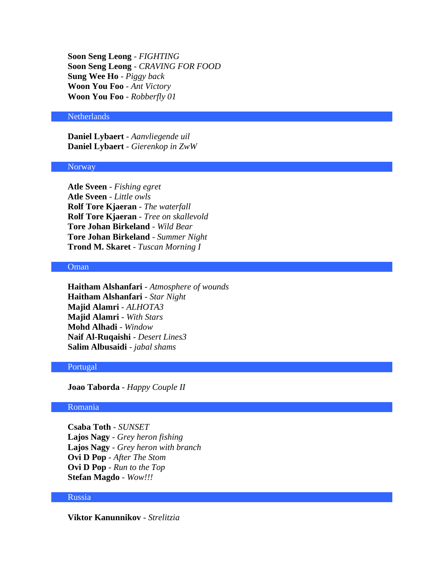**Soon Seng Leong** - *FIGHTING* **Soon Seng Leong** - *CRAVING FOR FOOD* **Sung Wee Ho** - *Piggy back* **Woon You Foo** - *Ant Victory* **Woon You Foo** - *Robberfly 01*

### **Netherlands**

**Daniel Lybaert** - *Aanvliegende uil* **Daniel Lybaert** - *Gierenkop in ZwW*

#### **Norway**

**Atle Sveen** - *Fishing egret* **Atle Sveen** - *Little owls* **Rolf Tore Kjaeran** - *The waterfall* **Rolf Tore Kjaeran** - *Tree on skallevold* **Tore Johan Birkeland** - *Wild Bear* **Tore Johan Birkeland** - *Summer Night* **Trond M. Skaret** - *Tuscan Morning I*

## Oman

**Haitham Alshanfari** - *Atmosphere of wounds* **Haitham Alshanfari** - *Star Night* **Majid Alamri** - *ALHOTA3* **Majid Alamri** - *With Stars* **Mohd Alhadi** - *Window* **Naif Al-Ruqaishi** - *Desert Lines3* **Salim Albusaidi** - *jabal shams*

# Portugal

**Joao Taborda** - *Happy Couple II*

# Romania

**Csaba Toth** - *SUNSET* **Lajos Nagy** - *Grey heron fishing* **Lajos Nagy** - *Grey heron with branch* **Ovi D Pop** - *After The Stom* **Ovi D Pop** - *Run to the Top* **Stefan Magdo** - *Wow!!!*

#### Russia

**Viktor Kanunnikov** - *Strelitzia*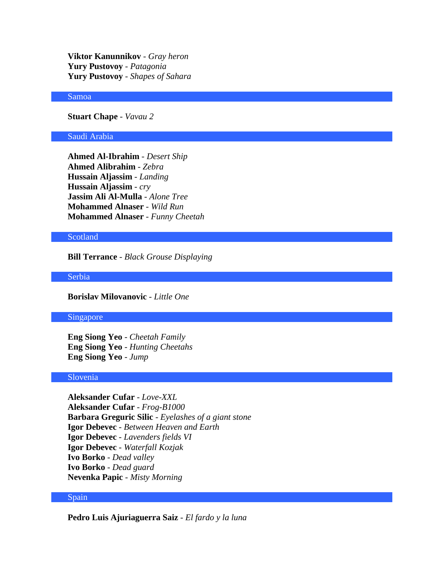**Viktor Kanunnikov** - *Gray heron* **Yury Pustovoy** - *Patagonia* **Yury Pustovoy** - *Shapes of Sahara*

# Samoa

**Stuart Chape** - *Vavau 2*

#### Saudi Arabia

**Ahmed Al-Ibrahim** - *Desert Ship* **Ahmed Alibrahim** - *Zebra* **Hussain Aljassim** - *Landing* **Hussain Aljassim** - *cry* **Jassim Ali Al-Mulla** - *Alone Tree* **Mohammed Alnaser** - *Wild Run* **Mohammed Alnaser** - *Funny Cheetah*

# **Scotland**

**Bill Terrance** - *Black Grouse Displaying*

Serbia

**Borislav Milovanovic** - *Little One*

#### Singapore

**Eng Siong Yeo** - *Cheetah Family* **Eng Siong Yeo** - *Hunting Cheetahs* **Eng Siong Yeo** - *Jump*

# Slovenia

**Aleksander Cufar** - *Love-XXL* **Aleksander Cufar** - *Frog-B1000* **Barbara Greguric Silic** - *Eyelashes of a giant stone* **Igor Debevec** - *Between Heaven and Earth* **Igor Debevec** - *Lavenders fields VI* **Igor Debevec** - *Waterfall Kozjak* **Ivo Borko** - *Dead valley* **Ivo Borko** - *Dead guard* **Nevenka Papic** - *Misty Morning*

# Spain

**Pedro Luis Ajuriaguerra Saiz** - *El fardo y la luna*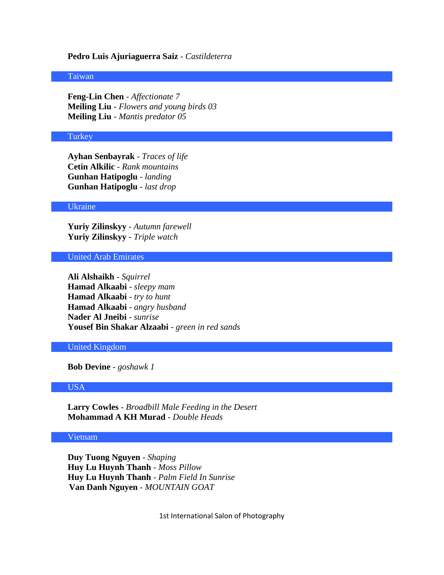# **Pedro Luis Ajuriaguerra Saiz** - *Castildeterra*

#### Taiwan

**Feng-Lin Chen** - *Affectionate 7* **Meiling Liu** - *Flowers and young birds 03* **Meiling Liu** - *Mantis predator 05*

#### **Turkey**

**Ayhan Senbayrak** - *Traces of life* **Cetin Alkilic** - *Rank mountains* **Gunhan Hatipoglu** - *landing* **Gunhan Hatipoglu** - *last drop*

#### Ukraine

**Yuriy Zilinskyy** - *Autumn farewell* **Yuriy Zilinskyy** - *Triple watch*

United Arab Emirates

**Ali Alshaikh** - *Squirrel* **Hamad Alkaabi** - *sleepy mam* **Hamad Alkaabi** - *try to hunt* **Hamad Alkaabi** - *angry husband* **Nader Al Jneibi** - *sunrise* **Yousef Bin Shakar Alzaabi** - *green in red sands*

United Kingdom

**Bob Devine** - *goshawk 1*

#### USA

**Larry Cowles** - *Broadbill Male Feeding in the Desert* **Mohammad A KH Murad** - *Double Heads*

# Vietnam

**Duy Tuong Nguyen** - *Shaping* **Huy Lu Huynh Thanh** - *Moss Pillow* **Huy Lu Huynh Thanh** - *Palm Field In Sunrise* **Van Danh Nguyen** - *MOUNTAIN GOAT*

1st International Salon of Photography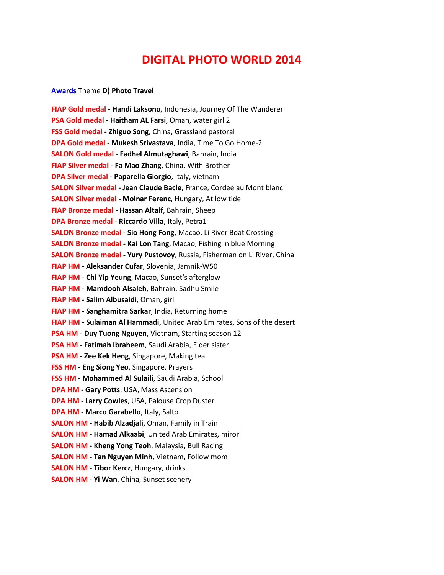# **DIGITAL PHOTO WORLD 2014**

#### **Awards** Theme **D) Photo Travel**

**FIAP Gold medal - Handi Laksono**, Indonesia, Journey Of The Wanderer **PSA Gold medal - Haitham AL Farsi**, Oman, water girl 2 **FSS Gold medal - Zhiguo Song**, China, Grassland pastoral **DPA Gold medal - Mukesh Srivastava**, India, Time To Go Home-2 **SALON Gold medal - Fadhel Almutaghawi**, Bahrain, India **FIAP Silver medal - Fa Mao Zhang**, China, With Brother **DPA Silver medal - Paparella Giorgio**, Italy, vietnam **SALON Silver medal - Jean Claude Bacle**, France, Cordee au Mont blanc **SALON Silver medal - Molnar Ferenc**, Hungary, At low tide **FIAP Bronze medal - Hassan Altaif**, Bahrain, Sheep **DPA Bronze medal - Riccardo Villa**, Italy, Petra1 **SALON Bronze medal - Sio Hong Fong**, Macao, Li River Boat Crossing **SALON Bronze medal - Kai Lon Tang**, Macao, Fishing in blue Morning **SALON Bronze medal - Yury Pustovoy**, Russia, Fisherman on Li River, China **FIAP HM - Aleksander Cufar**, Slovenia, Jamnik-W50 **FIAP HM - Chi Yip Yeung**, Macao, Sunset's afterglow **FIAP HM - Mamdooh Alsaleh**, Bahrain, Sadhu Smile **FIAP HM - Salim Albusaidi**, Oman, girl **FIAP HM - Sanghamitra Sarkar**, India, Returning home **FIAP HM - Sulaiman Al Hammadi**, United Arab Emirates, Sons of the desert **PSA HM - Duy Tuong Nguyen**, Vietnam, Starting season 12 **PSA HM - Fatimah Ibraheem**, Saudi Arabia, Elder sister **PSA HM - Zee Kek Heng**, Singapore, Making tea **FSS HM - Eng Siong Yeo**, Singapore, Prayers **FSS HM - Mohammed Al Sulaili**, Saudi Arabia, School **DPA HM - Gary Potts**, USA, Mass Ascension **DPA HM - Larry Cowles**, USA, Palouse Crop Duster **DPA HM - Marco Garabello**, Italy, Salto **SALON HM - Habib Alzadjali**, Oman, Family in Train **SALON HM - Hamad Alkaabi**, United Arab Emirates, mirori **SALON HM - Kheng Yong Teoh**, Malaysia, Bull Racing **SALON HM - Tan Nguyen Minh**, Vietnam, Follow mom **SALON HM - Tibor Kercz**, Hungary, drinks **SALON HM - Yi Wan**, China, Sunset scenery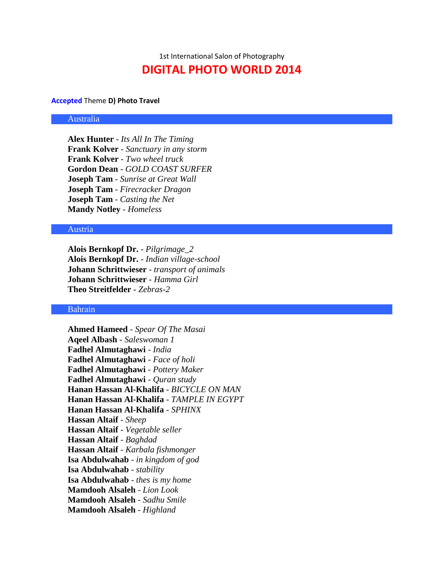1st International Salon of Photography **DIGITAL PHOTO WORLD 2014**

#### **Accepted** Theme **D) Photo Travel**

# Australia

**Alex Hunter** - *Its All In The Timing* **Frank Kolver** - *Sanctuary in any storm* **Frank Kolver** - *Two wheel truck* **Gordon Dean** - *GOLD COAST SURFER* **Joseph Tam** - *Sunrise at Great Wall* **Joseph Tam** - *Firecracker Dragon* **Joseph Tam** - *Casting the Net* **Mandy Notley** - *Homeless*

# Austria

**Alois Bernkopf Dr.** - *Pilgrimage\_2* **Alois Bernkopf Dr.** - *Indian village-school* **Johann Schrittwieser** - *transport of animals* **Johann Schrittwieser** - *Hamma Girl* **Theo Streitfelder** - *Zebras-2*

#### Bahrain

**Ahmed Hameed** - *Spear Of The Masai* **Aqeel Albash** - *Saleswoman 1* **Fadhel Almutaghawi** - *India* **Fadhel Almutaghawi** - *Face of holi* **Fadhel Almutaghawi** - *Pottery Maker* **Fadhel Almutaghawi** - *Quran study* **Hanan Hassan Al-Khalifa** - *BICYCLE ON MAN* **Hanan Hassan Al-Khalifa** - *TAMPLE IN EGYPT* **Hanan Hassan Al-Khalifa** - *SPHINX* **Hassan Altaif** - *Sheep* **Hassan Altaif** - *Vegetable seller* **Hassan Altaif** - *Baghdad* **Hassan Altaif** - *Karbala fishmonger* **Isa Abdulwahab** - *in kingdom of god* **Isa Abdulwahab** - *stability* **Isa Abdulwahab** - *thes is my home* **Mamdooh Alsaleh** - *Lion Look* **Mamdooh Alsaleh** - *Sadhu Smile* **Mamdooh Alsaleh** - *Highland*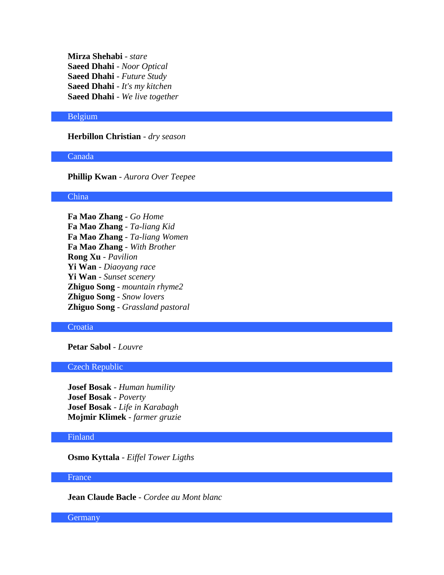**Mirza Shehabi** - *stare* **Saeed Dhahi** - *Noor Optical* **Saeed Dhahi** - *Future Study* **Saeed Dhahi** - *It's my kitchen* **Saeed Dhahi** - *We live together*

#### Belgium

# **Herbillon Christian** - *dry season*

# Canada

**Phillip Kwan** - *Aurora Over Teepee*

# China

**Fa Mao Zhang** - *Go Home* **Fa Mao Zhang** - *Ta-liang Kid* **Fa Mao Zhang** - *Ta-liang Women* **Fa Mao Zhang** - *With Brother* **Rong Xu** - *Pavilion* **Yi Wan** - *Diaoyang race* **Yi Wan** - *Sunset scenery* **Zhiguo Song** - *mountain rhyme2* **Zhiguo Song** - *Snow lovers* **Zhiguo Song** - *Grassland pastoral*

# **Croatia**

# **Petar Sabol** - *Louvre*

# Czech Republic

**Josef Bosak** - *Human humility* **Josef Bosak** - *Poverty* **Josef Bosak** - *Life in Karabagh* **Mojmir Klimek** - *farmer gruzie*

# Finland

**Osmo Kyttala** - *Eiffel Tower Ligths*

#### France

**Jean Claude Bacle** - *Cordee au Mont blanc*

**Germany**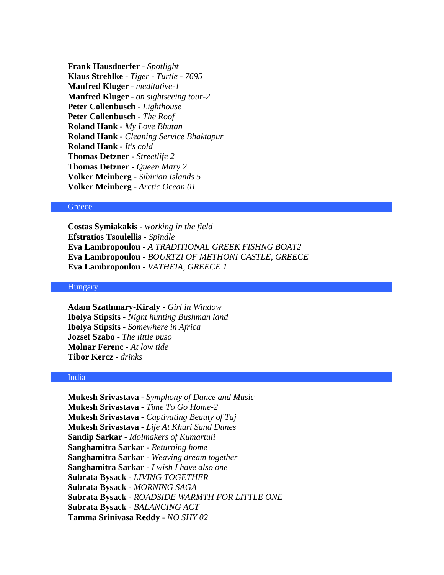**Frank Hausdoerfer** - *Spotlight* **Klaus Strehlke** - *Tiger - Turtle - 7695* **Manfred Kluger** - *meditative-1* **Manfred Kluger** - *on sightseeing tour-2* **Peter Collenbusch** - *Lighthouse* **Peter Collenbusch** - *The Roof* **Roland Hank** - *My Love Bhutan* **Roland Hank** - *Cleaning Service Bhaktapur* **Roland Hank** - *It's cold* **Thomas Detzner** - *Streetlife 2* **Thomas Detzner** - *Queen Mary 2* **Volker Meinberg** - *Sibirian Islands 5* **Volker Meinberg** - *Arctic Ocean 01*

#### **Greece**

**Costas Symiakakis** - *working in the field* **Efstratios Tsoulellis** - *Spindle* **Eva Lambropoulou** - *A TRADITIONAL GREEK FISHNG BOAT2* **Eva Lambropoulou** - *BOURTZI OF METHONI CASTLE, GREECE* **Eva Lambropoulou** - *VATHEIA, GREECE 1*

# Hungary

**Adam Szathmary-Kiraly** - *Girl in Window* **Ibolya Stipsits** - *Night hunting Bushman land* **Ibolya Stipsits** - *Somewhere in Africa* **Jozsef Szabo** - *The little buso* **Molnar Ferenc** - *At low tide* **Tibor Kercz** - *drinks*

#### India

**Mukesh Srivastava** - *Symphony of Dance and Music* **Mukesh Srivastava** - *Time To Go Home-2* **Mukesh Srivastava** - *Captivating Beauty of Taj* **Mukesh Srivastava** - *Life At Khuri Sand Dunes* **Sandip Sarkar** - *Idolmakers of Kumartuli* **Sanghamitra Sarkar** - *Returning home* **Sanghamitra Sarkar** - *Weaving dream together* **Sanghamitra Sarkar** - *I wish I have also one* **Subrata Bysack** - *LIVING TOGETHER* **Subrata Bysack** - *MORNING SAGA* **Subrata Bysack** - *ROADSIDE WARMTH FOR LITTLE ONE* **Subrata Bysack** - *BALANCING ACT* **Tamma Srinivasa Reddy** - *NO SHY 02*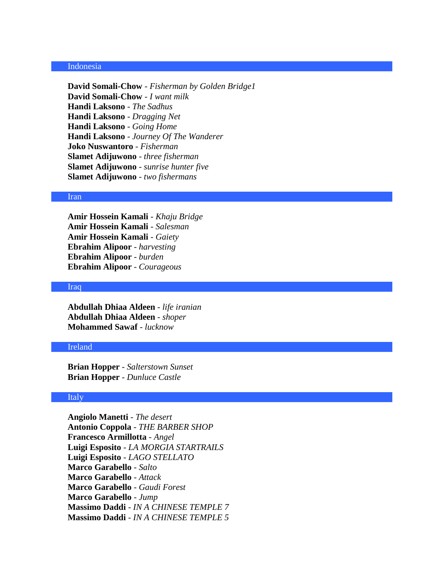#### Indonesia

**David Somali-Chow** - *Fisherman by Golden Bridge1* **David Somali-Chow** - *I want milk* **Handi Laksono** - *The Sadhus* **Handi Laksono** - *Dragging Net* **Handi Laksono** - *Going Home* **Handi Laksono** - *Journey Of The Wanderer* **Joko Nuswantoro** - *Fisherman* **Slamet Adijuwono** - *three fisherman* **Slamet Adijuwono** - *sunrise hunter five* **Slamet Adijuwono** - *two fishermans*

#### Iran

**Amir Hossein Kamali** - *Khaju Bridge* **Amir Hossein Kamali** - *Salesman* **Amir Hossein Kamali** - *Gaiety* **Ebrahim Alipoor** - *harvesting* **Ebrahim Alipoor** - *burden* **Ebrahim Alipoor** - *Courageous*

#### Iraq

**Abdullah Dhiaa Aldeen** - *life iranian* **Abdullah Dhiaa Aldeen** - *shoper* **Mohammed Sawaf** - *lucknow*

# Ireland

**Brian Hopper** - *Salterstown Sunset* **Brian Hopper** - *Dunluce Castle*

# Italy

**Angiolo Manetti** - *The desert* **Antonio Coppola** - *THE BARBER SHOP* **Francesco Armillotta** - *Angel* **Luigi Esposito** - *LA MORGIA STARTRAILS* **Luigi Esposito** - *LAGO STELLATO* **Marco Garabello** - *Salto* **Marco Garabello** - *Attack* **Marco Garabello** - *Gaudi Forest* **Marco Garabello** - *Jump* **Massimo Daddi** - *IN A CHINESE TEMPLE 7* **Massimo Daddi** - *IN A CHINESE TEMPLE 5*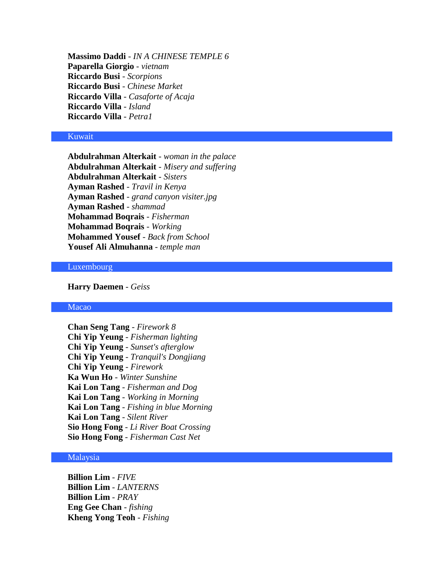**Massimo Daddi** - *IN A CHINESE TEMPLE 6* **Paparella Giorgio** - *vietnam* **Riccardo Busi** - *Scorpions* **Riccardo Busi** - *Chinese Market* **Riccardo Villa** - *Casaforte of Acaja* **Riccardo Villa** - *Island* **Riccardo Villa** - *Petra1*

# Kuwait

**Abdulrahman Alterkait** - *woman in the palace* **Abdulrahman Alterkait** - *Misery and suffering* **Abdulrahman Alterkait** - *Sisters* **Ayman Rashed** - *Travil in Kenya* **Ayman Rashed** - *grand canyon visiter.jpg* **Ayman Rashed** - *shammad* **Mohammad Boqrais** - *Fisherman* **Mohammad Boqrais** - *Working* **Mohammed Yousef** - *Back from School* **Yousef Ali Almuhanna** - *temple man*

#### Luxembourg

# **Harry Daemen** - *Geiss*

### Macao

**Chan Seng Tang** - *Firework 8* **Chi Yip Yeung** - *Fisherman lighting* **Chi Yip Yeung** - *Sunset's afterglow* **Chi Yip Yeung** - *Tranquil's Dongjiang* **Chi Yip Yeung** - *Firework* **Ka Wun Ho** - *Winter Sunshine* **Kai Lon Tang** - *Fisherman and Dog* **Kai Lon Tang** - *Working in Morning* **Kai Lon Tang** - *Fishing in blue Morning* **Kai Lon Tang** - *Silent River* **Sio Hong Fong** - *Li River Boat Crossing* **Sio Hong Fong** - *Fisherman Cast Net*

# Malaysia

**Billion Lim** - *FIVE* **Billion Lim** - *LANTERNS* **Billion Lim** - *PRAY* **Eng Gee Chan** - *fishing* **Kheng Yong Teoh** - *Fishing*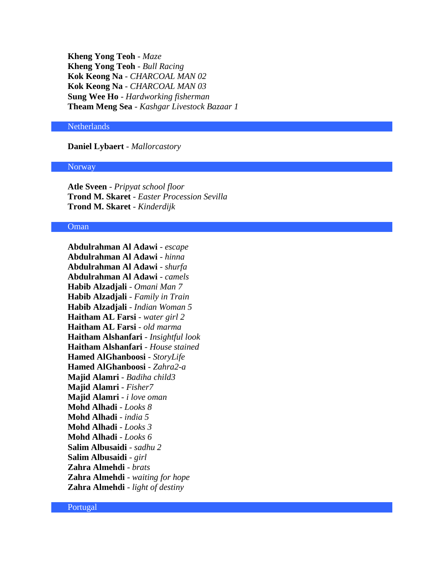**Kheng Yong Teoh** - *Maze* **Kheng Yong Teoh** - *Bull Racing* **Kok Keong Na** - *CHARCOAL MAN 02* **Kok Keong Na** - *CHARCOAL MAN 03* **Sung Wee Ho** - *Hardworking fisherman* **Theam Meng Sea** - *Kashgar Livestock Bazaar 1*

# **Netherlands**

**Daniel Lybaert** - *Mallorcastory*

#### **Norway**

**Atle Sveen** - *Pripyat school floor* **Trond M. Skaret** - *Easter Procession Sevilla* **Trond M. Skaret** - *Kinderdijk*

# Oman

**Abdulrahman Al Adawi** - *escape* **Abdulrahman Al Adawi** - *hinna* **Abdulrahman Al Adawi** - *shurfa* **Abdulrahman Al Adawi** - *camels* **Habib Alzadjali** - *Omani Man 7* **Habib Alzadjali** - *Family in Train* **Habib Alzadjali** - *Indian Woman 5* **Haitham AL Farsi** - *water girl 2* **Haitham AL Farsi** - *old marma* **Haitham Alshanfari** - *Insightful look* **Haitham Alshanfari** - *House stained* **Hamed AlGhanboosi** - *StoryLife* **Hamed AlGhanboosi** - *Zahra2-a* **Majid Alamri** - *Badiha child3* **Majid Alamri** - *Fisher7* **Majid Alamri** - *i love oman* **Mohd Alhadi** - *Looks 8* **Mohd Alhadi** - *india 5* **Mohd Alhadi** - *Looks 3* **Mohd Alhadi** - *Looks 6* **Salim Albusaidi** - *sadhu 2* **Salim Albusaidi** - *girl* **Zahra Almehdi** - *brats* **Zahra Almehdi** - *waiting for hope* **Zahra Almehdi** - *light of destiny*

Portugal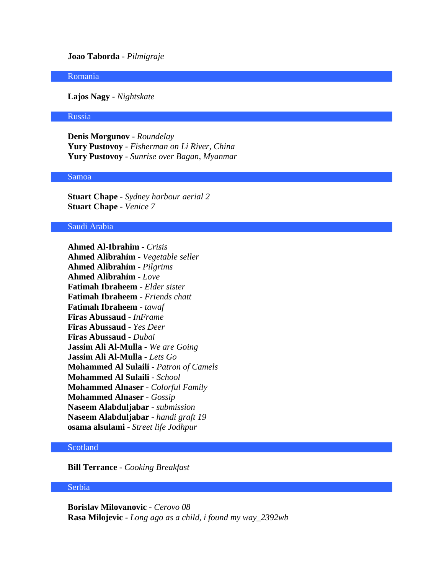# **Joao Taborda** - *Pilmigraje*

#### Romania

**Lajos Nagy** - *Nightskate*

#### Russia

**Denis Morgunov** - *Roundelay* **Yury Pustovoy** - *Fisherman on Li River, China* **Yury Pustovoy** - *Sunrise over Bagan, Myanmar*

#### Samoa

**Stuart Chape** - *Sydney harbour aerial 2* **Stuart Chape** - *Venice 7*

# Saudi Arabia

**Ahmed Al-Ibrahim** - *Crisis* **Ahmed Alibrahim** - *Vegetable seller* **Ahmed Alibrahim** - *Pilgrims* **Ahmed Alibrahim** - *Love* **Fatimah Ibraheem** - *Elder sister* **Fatimah Ibraheem** - *Friends chatt* **Fatimah Ibraheem** - *tawaf* **Firas Abussaud** - *InFrame* **Firas Abussaud** - *Yes Deer* **Firas Abussaud** - *Dubai* **Jassim Ali Al-Mulla** - *We are Going* **Jassim Ali Al-Mulla** - *Lets Go* **Mohammed Al Sulaili** - *Patron of Camels* **Mohammed Al Sulaili** - *School* **Mohammed Alnaser** - *Colorful Family* **Mohammed Alnaser** - *Gossip* **Naseem Alabduljabar** - *submission* **Naseem Alabduljabar** - *handi graft 19* **osama alsulami** - *Street life Jodhpur*

# Scotland

**Bill Terrance** - *Cooking Breakfast*

## Serbia

**Borislav Milovanovic** - *Cerovo 08* **Rasa Milojevic** - *Long ago as a child, i found my way\_2392wb*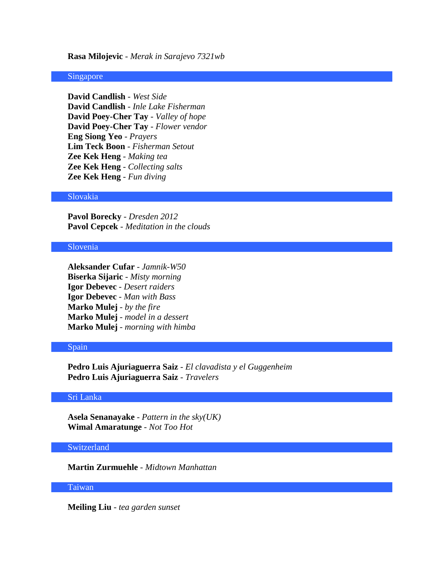#### **Rasa Milojevic** - *Merak in Sarajevo 7321wb*

#### Singapore

**David Candlish** - *West Side* **David Candlish** - *Inle Lake Fisherman* **David Poey-Cher Tay** - *Valley of hope* **David Poey-Cher Tay** - *Flower vendor* **Eng Siong Yeo** - *Prayers* **Lim Teck Boon** - *Fisherman Setout* **Zee Kek Heng** - *Making tea* **Zee Kek Heng** - *Collecting salts* **Zee Kek Heng** - *Fun diving*

# Slovakia

**Pavol Borecky** - *Dresden 2012* **Pavol Cepcek** - *Meditation in the clouds*

#### Slovenia

**Aleksander Cufar** - *Jamnik-W50* **Biserka Sijaric** - *Misty morning* **Igor Debevec** - *Desert raiders* **Igor Debevec** - *Man with Bass* **Marko Mulej** - *by the fire* **Marko Mulej** - *model in a dessert* **Marko Mulej** - *morning with himba*

#### Spain

**Pedro Luis Ajuriaguerra Saiz** - *El clavadista y el Guggenheim* **Pedro Luis Ajuriaguerra Saiz** - *Travelers*

#### Sri Lanka

**Asela Senanayake** - *Pattern in the sky(UK)* **Wimal Amaratunge** - *Not Too Hot*

#### Switzerland

**Martin Zurmuehle** - *Midtown Manhattan*

# Taiwan

**Meiling Liu** - *tea garden sunset*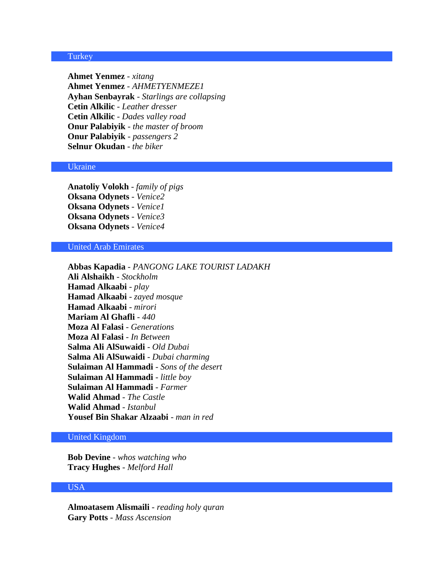# **Turkey**

**Ahmet Yenmez** - *xitang* **Ahmet Yenmez** - *AHMETYENMEZE1* **Ayhan Senbayrak** - *Starlings are collapsing* **Cetin Alkilic** - *Leather dresser* **Cetin Alkilic** - *Dades valley road* **Onur Palabiyik** - *the master of broom* **Onur Palabiyik** - *passengers 2* **Selnur Okudan** - *the biker*

#### Ukraine

**Anatoliy Volokh** - *family of pigs* **Oksana Odynets** - *Venice2* **Oksana Odynets** - *Venice1* **Oksana Odynets** - *Venice3* **Oksana Odynets** - *Venice4*

# United Arab Emirates

**Abbas Kapadia** - *PANGONG LAKE TOURIST LADAKH* **Ali Alshaikh** - *Stockholm* **Hamad Alkaabi** - *play* **Hamad Alkaabi** - *zayed mosque* **Hamad Alkaabi** - *mirori* **Mariam Al Ghafli** - *440* **Moza Al Falasi** - *Generations* **Moza Al Falasi** - *In Between* **Salma Ali AlSuwaidi** - *Old Dubai* **Salma Ali AlSuwaidi** - *Dubai charming* **Sulaiman Al Hammadi** - *Sons of the desert* **Sulaiman Al Hammadi** - *little boy* **Sulaiman Al Hammadi** - *Farmer* **Walid Ahmad** - *The Castle* **Walid Ahmad** - *Istanbul* **Yousef Bin Shakar Alzaabi** - *man in red*

# United Kingdom

**Bob Devine** - *whos watching who* **Tracy Hughes** - *Melford Hall*

# USA

**Almoatasem Alismaili** - *reading holy quran* **Gary Potts** - *Mass Ascension*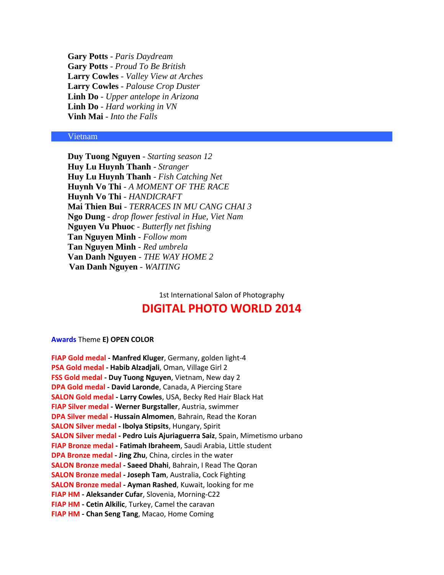**Gary Potts** - *Paris Daydream* **Gary Potts** - *Proud To Be British* **Larry Cowles** - *Valley View at Arches* **Larry Cowles** - *Palouse Crop Duster* **Linh Do** - *Upper antelope in Arizona* **Linh Do** - *Hard working in VN* **Vinh Mai** - *Into the Falls*

#### Vietnam

**Duy Tuong Nguyen** - *Starting season 12* **Huy Lu Huynh Thanh** - *Stranger* **Huy Lu Huynh Thanh** - *Fish Catching Net* **Huynh Vo Thi** - *A MOMENT OF THE RACE* **Huynh Vo Thi** - *HANDICRAFT* **Mai Thien Bui** - *TERRACES IN MU CANG CHAI 3* **Ngo Dung** - *drop flower festival in Hue, Viet Nam* **Nguyen Vu Phuoc** - *Butterfly net fishing* **Tan Nguyen Minh** - *Follow mom* **Tan Nguyen Minh** - *Red umbrela* **Van Danh Nguyen** - *THE WAY HOME 2* **Van Danh Nguyen** - *WAITING*

1st International Salon of Photography

# **DIGITAL PHOTO WORLD 2014**

#### **Awards** Theme **E) OPEN COLOR**

**FIAP Gold medal - Manfred Kluger**, Germany, golden light-4 **PSA Gold medal - Habib Alzadjali**, Oman, Village Girl 2 **FSS Gold medal - Duy Tuong Nguyen**, Vietnam, New day 2 **DPA Gold medal - David Laronde**, Canada, A Piercing Stare **SALON Gold medal - Larry Cowles**, USA, Becky Red Hair Black Hat **FIAP Silver medal - Werner Burgstaller**, Austria, swimmer **DPA Silver medal - Hussain Almomen**, Bahrain, Read the Koran **SALON Silver medal - Ibolya Stipsits**, Hungary, Spirit **SALON Silver medal - Pedro Luis Ajuriaguerra Saiz**, Spain, Mimetismo urbano **FIAP Bronze medal - Fatimah Ibraheem**, Saudi Arabia, Little student **DPA Bronze medal - Jing Zhu**, China, circles in the water **SALON Bronze medal - Saeed Dhahi**, Bahrain, I Read The Qoran **SALON Bronze medal - Joseph Tam**, Australia, Cock Fighting **SALON Bronze medal - Ayman Rashed**, Kuwait, looking for me **FIAP HM - Aleksander Cufar**, Slovenia, Morning-C22 **FIAP HM - Cetin Alkilic**, Turkey, Camel the caravan **FIAP HM - Chan Seng Tang**, Macao, Home Coming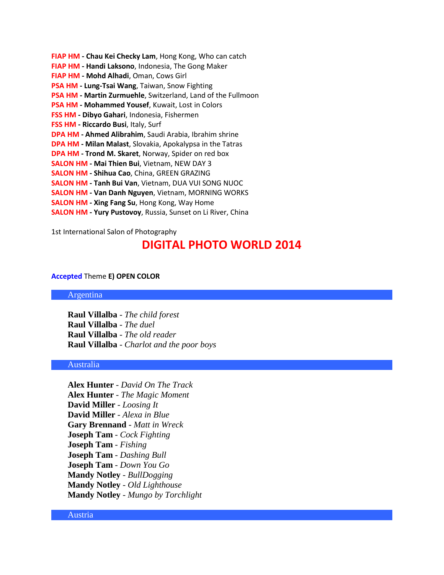**FIAP HM - Chau Kei Checky Lam**, Hong Kong, Who can catch **FIAP HM - Handi Laksono**, Indonesia, The Gong Maker **FIAP HM - Mohd Alhadi**, Oman, Cows Girl **PSA HM - Lung-Tsai Wang**, Taiwan, Snow Fighting **PSA HM - Martin Zurmuehle**, Switzerland, Land of the Fullmoon **PSA HM - Mohammed Yousef**, Kuwait, Lost in Colors **FSS HM - Dibyo Gahari**, Indonesia, Fishermen **FSS HM - Riccardo Busi**, Italy, Surf **DPA HM - Ahmed Alibrahim**, Saudi Arabia, Ibrahim shrine **DPA HM - Milan Malast**, Slovakia, Apokalypsa in the Tatras **DPA HM - Trond M. Skaret**, Norway, Spider on red box **SALON HM - Mai Thien Bui**, Vietnam, NEW DAY 3 **SALON HM - Shihua Cao**, China, GREEN GRAZING **SALON HM - Tanh Bui Van**, Vietnam, DUA VUI SONG NUOC **SALON HM - Van Danh Nguyen**, Vietnam, MORNING WORKS **SALON HM - Xing Fang Su**, Hong Kong, Way Home **SALON HM - Yury Pustovoy**, Russia, Sunset on Li River, China

1st International Salon of Photography

# **DIGITAL PHOTO WORLD 2014**

#### **Accepted** Theme **E) OPEN COLOR**

Argentina

**Raul Villalba** - *The child forest* **Raul Villalba** - *The duel* **Raul Villalba** - *The old reader* **Raul Villalba** - *Charlot and the poor boys*

# Australia

**Alex Hunter** - *David On The Track* **Alex Hunter** - *The Magic Moment* **David Miller** - *Loosing It* **David Miller** - *Alexa in Blue* **Gary Brennand** - *Matt in Wreck* **Joseph Tam** - *Cock Fighting* **Joseph Tam** - *Fishing* **Joseph Tam** - *Dashing Bull* **Joseph Tam** - *Down You Go* **Mandy Notley** - *BullDogging* **Mandy Notley** - *Old Lighthouse* **Mandy Notley** - *Mungo by Torchlight*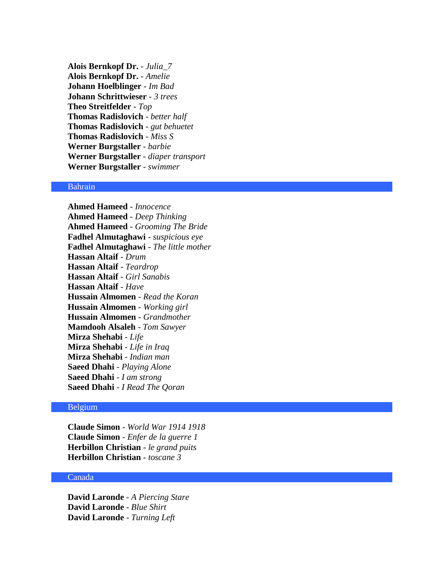**Alois Bernkopf Dr.** - *Julia\_7* **Alois Bernkopf Dr.** - *Amelie* **Johann Hoelblinger** - *Im Bad* **Johann Schrittwieser** - *3 trees* **Theo Streitfelder** - *Top* **Thomas Radislovich** - *better half* **Thomas Radislovich** - *gut behuetet* **Thomas Radislovich** - *Miss S* **Werner Burgstaller** - *barbie* **Werner Burgstaller** - *diaper transport* **Werner Burgstaller** - *swimmer*

# Bahrain

**Ahmed Hameed** - *Innocence* **Ahmed Hameed** - *Deep Thinking* **Ahmed Hameed** - *Grooming The Bride* **Fadhel Almutaghawi** - *suspicious eye* **Fadhel Almutaghawi** - *The little mother* **Hassan Altaif** - *Drum* **Hassan Altaif** - *Teardrop* **Hassan Altaif** - *Girl Sanabis* **Hassan Altaif** - *Have* **Hussain Almomen** - *Read the Koran* **Hussain Almomen** - *Working girl* **Hussain Almomen** - *Grandmother* **Mamdooh Alsaleh** - *Tom Sawyer* **Mirza Shehabi** - *Life* **Mirza Shehabi** - *Life in Iraq* **Mirza Shehabi** - *Indian man* **Saeed Dhahi** - *Playing Alone* **Saeed Dhahi** - *I am strong* **Saeed Dhahi** - *I Read The Qoran*

# Belgium

**Claude Simon** - *World War 1914 1918* **Claude Simon** - *Enfer de la guerre 1* **Herbillon Christian** - *le grand puits* **Herbillon Christian** - *toscane 3*

#### Canada

**David Laronde** - *A Piercing Stare* **David Laronde** - *Blue Shirt* **David Laronde** - *Turning Left*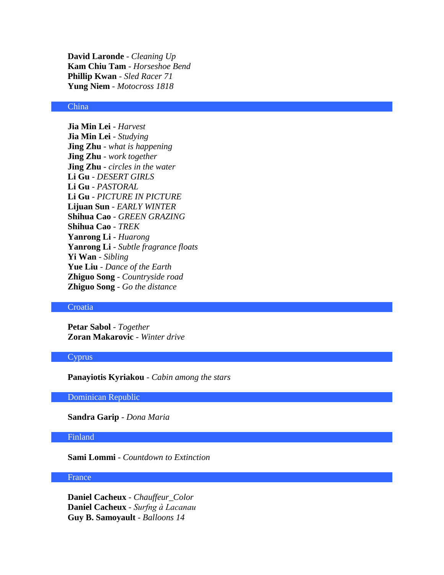**David Laronde** - *Cleaning Up* **Kam Chiu Tam** - *Horseshoe Bend* **Phillip Kwan** - *Sled Racer 71* **Yung Niem** - *Motocross 1818*

#### China

**Jia Min Lei** - *Harvest* **Jia Min Lei** - *Studying* **Jing Zhu** - *what is happening* **Jing Zhu** - *work together* **Jing Zhu** - *circles in the water* **Li Gu** - *DESERT GIRLS* **Li Gu** - *PASTORAL* **Li Gu** - *PICTURE IN PICTURE* **Lijuan Sun** - *EARLY WINTER* **Shihua Cao** - *GREEN GRAZING* **Shihua Cao** - *TREK* **Yanrong Li** - *Huarong* **Yanrong Li** - *Subtle fragrance floats* **Yi Wan** - *Sibling* **Yue Liu** - *Dance of the Earth* **Zhiguo Song** - *Countryside road* **Zhiguo Song** - *Go the distance*

### **Croatia**

**Petar Sabol** - *Together* **Zoran Makarovic** - *Winter drive*

#### Cyprus

**Panayiotis Kyriakou** - *Cabin among the stars*

Dominican Republic

**Sandra Garip** - *Dona Maria*

# Finland

**Sami Lommi** - *Countdown to Extinction*

#### France

**Daniel Cacheux** - *Chauffeur\_Color* **Daniel Cacheux** - *Surfng à Lacanau* **Guy B. Samoyault** - *Balloons 14*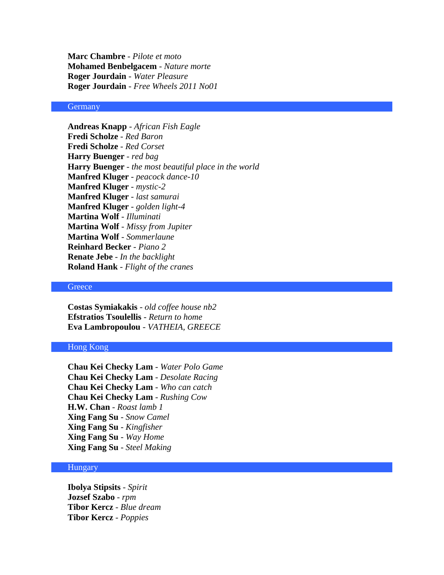**Marc Chambre** - *Pilote et moto* **Mohamed Benbelgacem** - *Nature morte* **Roger Jourdain** - *Water Pleasure* **Roger Jourdain** - *Free Wheels 2011 No01*

#### **Germany**

**Andreas Knapp** - *African Fish Eagle* **Fredi Scholze** - *Red Baron* **Fredi Scholze** - *Red Corset* **Harry Buenger** - *red bag* **Harry Buenger** - *the most beautiful place in the world* **Manfred Kluger** - *peacock dance-10* **Manfred Kluger** - *mystic-2* **Manfred Kluger** - *last samurai* **Manfred Kluger** - *golden light-4* **Martina Wolf** - *Illuminati* **Martina Wolf** - *Missy from Jupiter* **Martina Wolf** - *Sommerlaune* **Reinhard Becker** - *Piano 2* **Renate Jebe** - *In the backlight* **Roland Hank** - *Flight of the cranes*

# **Greece**

**Costas Symiakakis** - *old coffee house nb2* **Efstratios Tsoulellis** - *Return to home* **Eva Lambropoulou** - *VATHEIA, GREECE*

# Hong Kong

**Chau Kei Checky Lam** - *Water Polo Game* **Chau Kei Checky Lam** - *Desolate Racing* **Chau Kei Checky Lam** - *Who can catch* **Chau Kei Checky Lam** - *Rushing Cow* **H.W. Chan** - *Roast lamb 1* **Xing Fang Su** - *Snow Camel* **Xing Fang Su** - *Kingfisher* **Xing Fang Su** - *Way Home* **Xing Fang Su** - *Steel Making*

# **Hungary**

**Ibolya Stipsits** - *Spirit* **Jozsef Szabo** - *rpm* **Tibor Kercz** - *Blue dream* **Tibor Kercz** - *Poppies*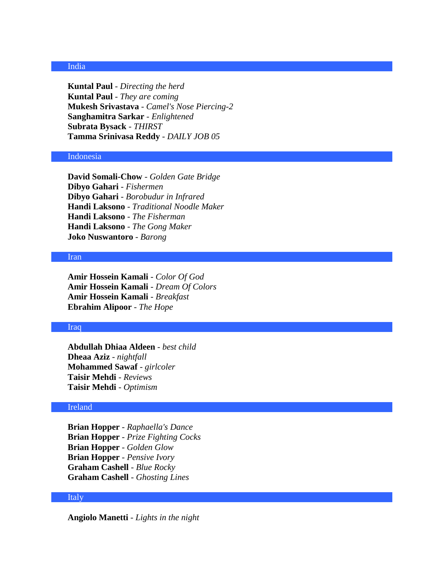# India

**Kuntal Paul** - *Directing the herd* **Kuntal Paul** - *They are coming* **Mukesh Srivastava** - *Camel's Nose Piercing-2* **Sanghamitra Sarkar** - *Enlightened* **Subrata Bysack** - *THIRST* **Tamma Srinivasa Reddy** - *DAILY JOB 05*

# Indonesia

**David Somali-Chow** - *Golden Gate Bridge* **Dibyo Gahari** - *Fishermen* **Dibyo Gahari** - *Borobudur in Infrared* **Handi Laksono** - *Traditional Noodle Maker* **Handi Laksono** - *The Fisherman* **Handi Laksono** - *The Gong Maker* **Joko Nuswantoro** - *Barong*

#### Iran

**Amir Hossein Kamali** - *Color Of God* **Amir Hossein Kamali** - *Dream Of Colors* **Amir Hossein Kamali** - *Breakfast* **Ebrahim Alipoor** - *The Hope*

# Iraq

**Abdullah Dhiaa Aldeen** - *best child* **Dheaa Aziz** - *nightfall* **Mohammed Sawaf** - *girlcoler* **Taisir Mehdi** - *Reviews* **Taisir Mehdi** - *Optimism*

# Ireland

**Brian Hopper** - *Raphaella's Dance* **Brian Hopper** - *Prize Fighting Cocks* **Brian Hopper** - *Golden Glow* **Brian Hopper** - *Pensive Ivory* **Graham Cashell** - *Blue Rocky* **Graham Cashell** - *Ghosting Lines*

#### Italy

**Angiolo Manetti** - *Lights in the night*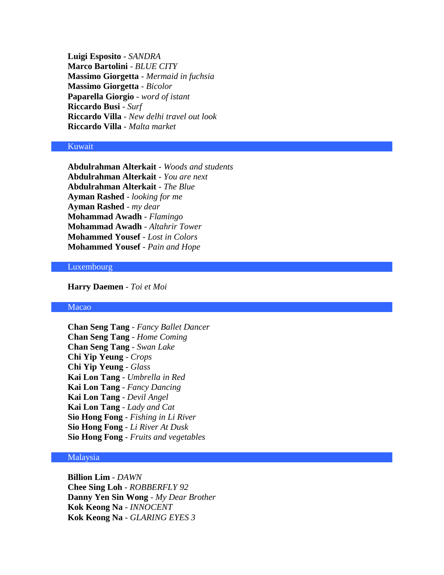**Luigi Esposito** - *SANDRA* **Marco Bartolini** - *BLUE CITY* **Massimo Giorgetta** - *Mermaid in fuchsia* **Massimo Giorgetta** - *Bicolor* **Paparella Giorgio** - *word of istant* **Riccardo Busi** - *Surf* **Riccardo Villa** - *New delhi travel out look* **Riccardo Villa** - *Malta market*

# Kuwait

**Abdulrahman Alterkait** - *Woods and students* **Abdulrahman Alterkait** - *You are next* **Abdulrahman Alterkait** - *The Blue* **Ayman Rashed** - *looking for me* **Ayman Rashed** - *my dear* **Mohammad Awadh** - *Flamingo* **Mohammad Awadh** - *Altahrir Tower* **Mohammed Yousef** - *Lost in Colors* **Mohammed Yousef** - *Pain and Hope*

# **Luxembourg**

**Harry Daemen** - *Toi et Moi*

### Macao

**Chan Seng Tang** - *Fancy Ballet Dancer* **Chan Seng Tang** - *Home Coming* **Chan Seng Tang** - *Swan Lake* **Chi Yip Yeung** - *Crops* **Chi Yip Yeung** - *Glass* **Kai Lon Tang** - *Umbrella in Red* **Kai Lon Tang** - *Fancy Dancing* **Kai Lon Tang** - *Devil Angel* **Kai Lon Tang** - *Lady and Cat* **Sio Hong Fong** - *Fishing in Li River* **Sio Hong Fong** - *Li River At Dusk* **Sio Hong Fong** - *Fruits and vegetables*

# Malaysia

**Billion Lim** - *DAWN* **Chee Sing Loh** - *ROBBERFLY 92* **Danny Yen Sin Wong** - *My Dear Brother* **Kok Keong Na** - *INNOCENT* **Kok Keong Na** - *GLARING EYES 3*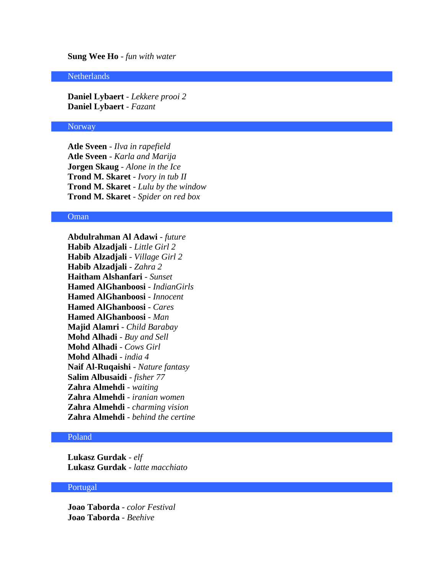# **Sung Wee Ho** - *fun with water*

#### **Netherlands**

**Daniel Lybaert** - *Lekkere prooi 2* **Daniel Lybaert** - *Fazant*

#### Norway

**Atle Sveen** - *Ilva in rapefield* **Atle Sveen** - *Karla and Marija* **Jorgen Skaug** - *Alone in the Ice* **Trond M. Skaret** - *Ivory in tub II* **Trond M. Skaret** - *Lulu by the window* **Trond M. Skaret** - *Spider on red box*

# Oman

**Abdulrahman Al Adawi** - *future* **Habib Alzadjali** - *Little Girl 2* **Habib Alzadjali** - *Village Girl 2* **Habib Alzadjali** - *Zahra 2* **Haitham Alshanfari** - *Sunset* **Hamed AlGhanboosi** - *IndianGirls* **Hamed AlGhanboosi** - *Innocent* **Hamed AlGhanboosi** - *Cares* **Hamed AlGhanboosi** - *Man* **Majid Alamri** - *Child Barabay* **Mohd Alhadi** - *Buy and Sell* **Mohd Alhadi** - *Cows Girl* **Mohd Alhadi** - *india 4* **Naif Al-Ruqaishi** - *Nature fantasy* **Salim Albusaidi** - *fisher 77* **Zahra Almehdi** - *waiting* **Zahra Almehdi** - *iranian women* **Zahra Almehdi** - *charming vision* **Zahra Almehdi** - *behind the certine*

# Poland

**Lukasz Gurdak** - *elf* **Lukasz Gurdak** - *latte macchiato*

## Portugal

**Joao Taborda** - *color Festival* **Joao Taborda** - *Beehive*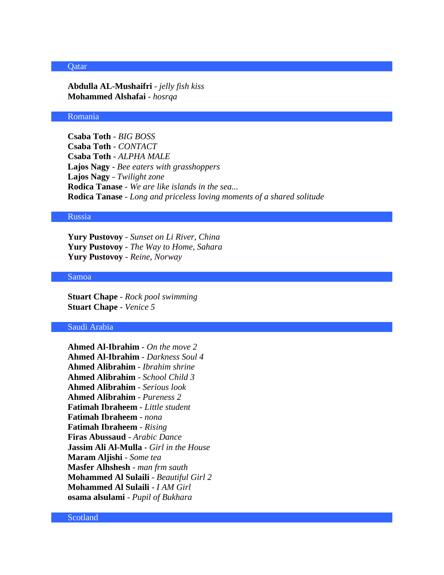#### **Qatar**

**Abdulla AL-Mushaifri** - *jelly fish kiss* **Mohammed Alshafai** - *hosrqa*

#### Romania

**Csaba Toth** - *BIG BOSS* **Csaba Toth** - *CONTACT* **Csaba Toth** - *ALPHA MALE* **Lajos Nagy** - *Bee eaters with grasshoppers* **Lajos Nagy** - *Twilight zone* **Rodica Tanase** - *We are like islands in the sea...* **Rodica Tanase** - *Long and priceless loving moments of a shared solitude*

#### Russia

**Yury Pustovoy** - *Sunset on Li River, China* **Yury Pustovoy** - *The Way to Home, Sahara* **Yury Pustovoy** - *Reine, Norway*

# Samoa

**Stuart Chape** - *Rock pool swimming* **Stuart Chape** - *Venice 5*

#### Saudi Arabia

**Ahmed Al-Ibrahim** - *On the move 2* **Ahmed Al-Ibrahim** - *Darkness Soul 4* **Ahmed Alibrahim** - *Ibrahim shrine* **Ahmed Alibrahim** - *School Child 3* **Ahmed Alibrahim** - *Serious look* **Ahmed Alibrahim** - *Pureness 2* **Fatimah Ibraheem** - *Little student* **Fatimah Ibraheem** - *nona* **Fatimah Ibraheem** - *Rising* **Firas Abussaud** - *Arabic Dance* **Jassim Ali Al-Mulla** - *Girl in the House* **Maram Aljishi** - *Some tea* **Masfer Alhshesh** - *man frm sauth* **Mohammed Al Sulaili** - *Beautiful Girl 2* **Mohammed Al Sulaili** - *I AM Girl* **osama alsulami** - *Pupil of Bukhara*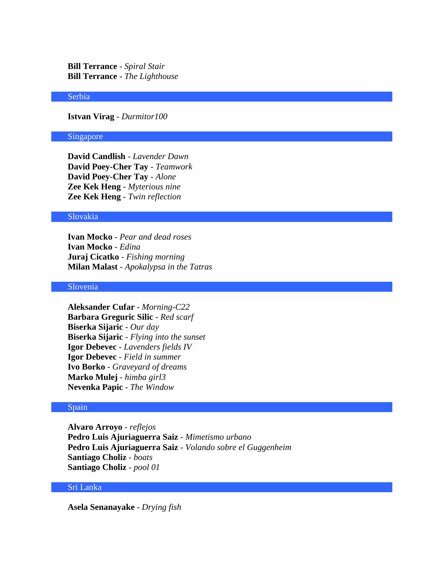**Bill Terrance** - *Spiral Stair* **Bill Terrance** - *The Lighthouse*

#### Serbia

**Istvan Virag** - *Durmitor100*

#### Singapore

**David Candlish** - *Lavender Dawn* **David Poey-Cher Tay** - *Teamwork* **David Poey-Cher Tay** - *Alone* **Zee Kek Heng** - *Myterious nine* **Zee Kek Heng** - *Twin reflection*

#### Slovakia

**Ivan Mocko** - *Pear and dead roses* **Ivan Mocko** - *Edina* **Juraj Cicatko** - *Fishing morning* **Milan Malast** - *Apokalypsa in the Tatras*

#### Slovenia

**Aleksander Cufar** - *Morning-C22* **Barbara Greguric Silic** - *Red scarf* **Biserka Sijaric** - *Our day* **Biserka Sijaric** - *Flying into the sunset* **Igor Debevec** - *Lavenders fields IV* **Igor Debevec** - *Field in summer* **Ivo Borko** - *Graveyard of dreams* **Marko Mulej** - *himba girl3* **Nevenka Papic** - *The Window*

# Spain

**Alvaro Arroyo** - *reflejos* **Pedro Luis Ajuriaguerra Saiz** - *Mimetismo urbano* **Pedro Luis Ajuriaguerra Saiz** - *Volando sobre el Guggenheim* **Santiago Choliz** - *boats* **Santiago Choliz** - *pool 01*

# Sri Lanka

**Asela Senanayake** - *Drying fish*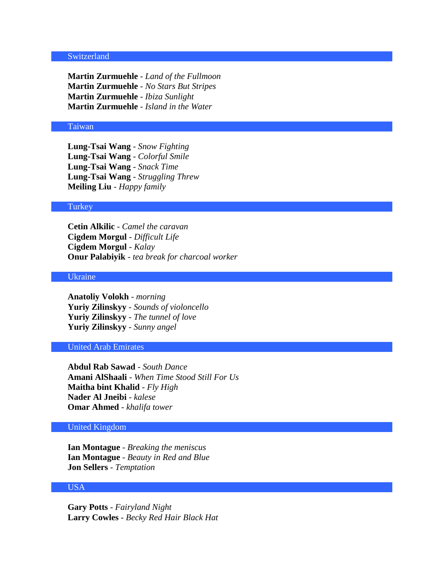# **Switzerland**

**Martin Zurmuehle** - *Land of the Fullmoon* **Martin Zurmuehle** - *No Stars But Stripes* **Martin Zurmuehle** - *Ibiza Sunlight* **Martin Zurmuehle** - *Island in the Water*

# Taiwan

**Lung-Tsai Wang** - *Snow Fighting* **Lung-Tsai Wang** - *Colorful Smile* **Lung-Tsai Wang** - *Snack Time* **Lung-Tsai Wang** - *Struggling Threw* **Meiling Liu** - *Happy family*

#### **Turkey**

**Cetin Alkilic** - *Camel the caravan* **Cigdem Morgul** - *Difficult Life* **Cigdem Morgul** - *Kalay* **Onur Palabiyik** - *tea break for charcoal worker*

#### Ukraine

**Anatoliy Volokh** - *morning* **Yuriy Zilinskyy** - *Sounds of violoncello* **Yuriy Zilinskyy** - *The tunnel of love* **Yuriy Zilinskyy** - *Sunny angel*

#### United Arab Emirates

**Abdul Rab Sawad** - *South Dance* **Amani AlShaali** - *When Time Stood Still For Us* **Maitha bint Khalid** - *Fly High* **Nader Al Jneibi** - *kalese* **Omar Ahmed** - *khalifa tower*

# United Kingdom

**Ian Montague** - *Breaking the meniscus* **Ian Montague** - *Beauty in Red and Blue* **Jon Sellers** - *Temptation*

# USA

**Gary Potts** - *Fairyland Night* **Larry Cowles** - *Becky Red Hair Black Hat*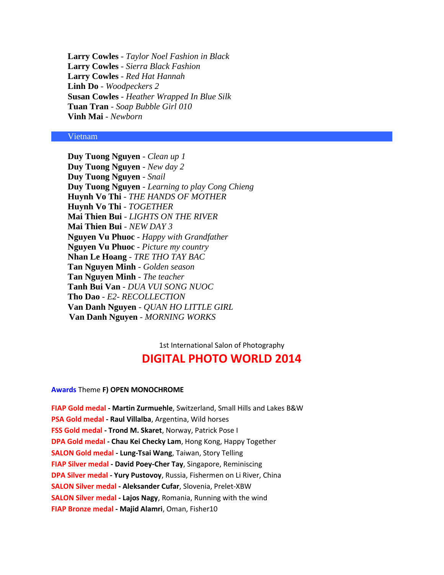**Larry Cowles** - *Taylor Noel Fashion in Black* **Larry Cowles** - *Sierra Black Fashion* **Larry Cowles** - *Red Hat Hannah* **Linh Do** - *Woodpeckers 2* **Susan Cowles** - *Heather Wrapped In Blue Silk* **Tuan Tran** - *Soap Bubble Girl 010* **Vinh Mai** - *Newborn*

#### Vietnam

**Duy Tuong Nguyen** - *Clean up 1* **Duy Tuong Nguyen** - *New day 2* **Duy Tuong Nguyen** - *Snail* **Duy Tuong Nguyen** - *Learning to play Cong Chieng* **Huynh Vo Thi** - *THE HANDS OF MOTHER* **Huynh Vo Thi** - *TOGETHER* **Mai Thien Bui** - *LIGHTS ON THE RIVER* **Mai Thien Bui** - *NEW DAY 3* **Nguyen Vu Phuoc** - *Happy with Grandfather* **Nguyen Vu Phuoc** - *Picture my country* **Nhan Le Hoang** - *TRE THO TAY BAC* **Tan Nguyen Minh** - *Golden season* **Tan Nguyen Minh** - *The teacher* **Tanh Bui Van** - *DUA VUI SONG NUOC* **Tho Dao** - *E2- RECOLLECTION* **Van Danh Nguyen** - *QUAN HO LITTLE GIRL* **Van Danh Nguyen** - *MORNING WORKS*

> 1st International Salon of Photography **DIGITAL PHOTO WORLD 2014**

#### **Awards** Theme **F) OPEN MONOCHROME**

**FIAP Gold medal - Martin Zurmuehle**, Switzerland, Small Hills and Lakes B&W **PSA Gold medal - Raul Villalba**, Argentina, Wild horses **FSS Gold medal - Trond M. Skaret**, Norway, Patrick Pose I **DPA Gold medal - Chau Kei Checky Lam**, Hong Kong, Happy Together **SALON Gold medal - Lung-Tsai Wang**, Taiwan, Story Telling **FIAP Silver medal - David Poey-Cher Tay**, Singapore, Reminiscing **DPA Silver medal - Yury Pustovoy**, Russia, Fishermen on Li River, China **SALON Silver medal - Aleksander Cufar**, Slovenia, Prelet-XBW **SALON Silver medal - Lajos Nagy**, Romania, Running with the wind **FIAP Bronze medal - Majid Alamri**, Oman, Fisher10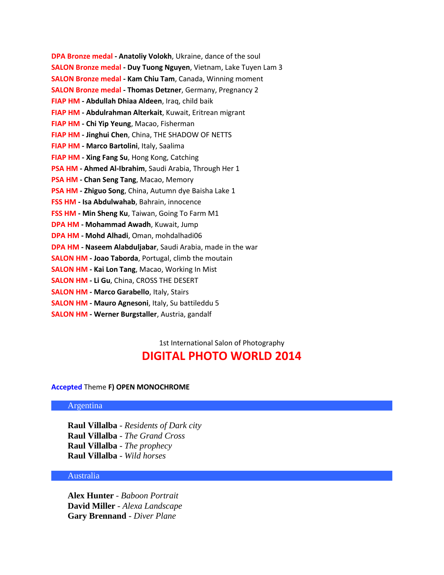**DPA Bronze medal - Anatoliy Volokh**, Ukraine, dance of the soul **SALON Bronze medal - Duy Tuong Nguyen**, Vietnam, Lake Tuyen Lam 3 **SALON Bronze medal - Kam Chiu Tam**, Canada, Winning moment **SALON Bronze medal - Thomas Detzner**, Germany, Pregnancy 2 **FIAP HM - Abdullah Dhiaa Aldeen**, Iraq, child baik **FIAP HM - Abdulrahman Alterkait**, Kuwait, Eritrean migrant **FIAP HM - Chi Yip Yeung**, Macao, Fisherman **FIAP HM - Jinghui Chen**, China, THE SHADOW OF NETTS **FIAP HM - Marco Bartolini**, Italy, Saalima **FIAP HM - Xing Fang Su**, Hong Kong, Catching **PSA HM - Ahmed Al-Ibrahim**, Saudi Arabia, Through Her 1 **PSA HM - Chan Seng Tang**, Macao, Memory **PSA HM - Zhiguo Song**, China, Autumn dye Baisha Lake 1 **FSS HM - Isa Abdulwahab**, Bahrain, innocence **FSS HM - Min Sheng Ku**, Taiwan, Going To Farm M1 **DPA HM - Mohammad Awadh**, Kuwait, Jump **DPA HM - Mohd Alhadi**, Oman, mohdalhadi06 **DPA HM - Naseem Alabduljabar**, Saudi Arabia, made in the war **SALON HM - Joao Taborda**, Portugal, climb the moutain **SALON HM - Kai Lon Tang**, Macao, Working In Mist **SALON HM - Li Gu**, China, CROSS THE DESERT

- **SALON HM - Marco Garabello**, Italy, Stairs
- **SALON HM - Mauro Agnesoni**, Italy, Su battileddu 5
- **SALON HM - Werner Burgstaller**, Austria, gandalf

1st International Salon of Photography

# **DIGITAL PHOTO WORLD 2014**

#### **Accepted** Theme **F) OPEN MONOCHROME**

#### Argentina

**Raul Villalba** - *Residents of Dark city* **Raul Villalba** - *The Grand Cross* **Raul Villalba** - *The prophecy* **Raul Villalba** - *Wild horses*

# Australia

**Alex Hunter** - *Baboon Portrait* **David Miller** - *Alexa Landscape* **Gary Brennand** - *Diver Plane*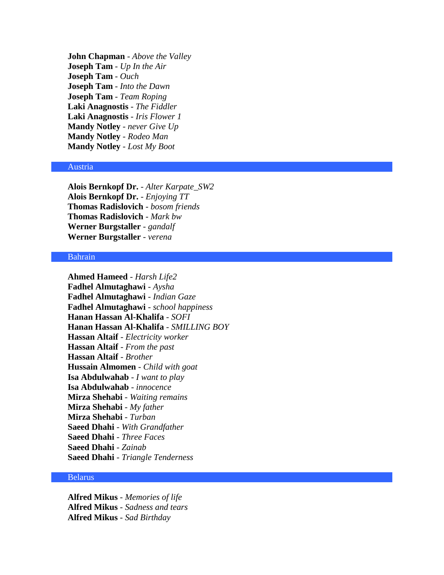**John Chapman** - *Above the Valley* **Joseph Tam** - *Up In the Air* **Joseph Tam** - *Ouch* **Joseph Tam** - *Into the Dawn* **Joseph Tam** - *Team Roping* **Laki Anagnostis** - *The Fiddler* **Laki Anagnostis** - *Iris Flower 1* **Mandy Notley** - *never Give Up* **Mandy Notley** - *Rodeo Man* **Mandy Notley** - *Lost My Boot*

#### Austria

**Alois Bernkopf Dr.** - *Alter Karpate\_SW2* **Alois Bernkopf Dr.** - *Enjoying TT* **Thomas Radislovich** - *bosom friends* **Thomas Radislovich** - *Mark bw* **Werner Burgstaller** - *gandalf* **Werner Burgstaller** - *verena*

# Bahrain

**Ahmed Hameed** - *Harsh Life2* **Fadhel Almutaghawi** - *Aysha* **Fadhel Almutaghawi** - *Indian Gaze* **Fadhel Almutaghawi** - *school happiness* **Hanan Hassan Al-Khalifa** - *SOFI* **Hanan Hassan Al-Khalifa** - *SMILLING BOY* **Hassan Altaif** - *Electricity worker* **Hassan Altaif** - *From the past* **Hassan Altaif** - *Brother* **Hussain Almomen** - *Child with goat* **Isa Abdulwahab** - *I want to play* **Isa Abdulwahab** - *innocence* **Mirza Shehabi** - *Waiting remains* **Mirza Shehabi** - *My father* **Mirza Shehabi** - *Turban* **Saeed Dhahi** - *With Grandfather* **Saeed Dhahi** - *Three Faces* **Saeed Dhahi** - *Zainab* **Saeed Dhahi** - *Triangle Tenderness*

#### Belarus

**Alfred Mikus** - *Memories of life* **Alfred Mikus** - *Sadness and tears* **Alfred Mikus** - *Sad Birthday*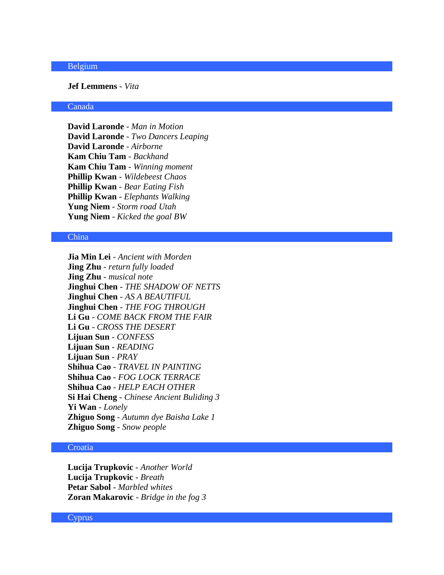# Belgium

**Jef Lemmens** - *Vita*

#### Canada

**David Laronde** - *Man in Motion* **David Laronde** - *Two Dancers Leaping* **David Laronde** - *Airborne* **Kam Chiu Tam** - *Backhand* **Kam Chiu Tam** - *Winning moment* **Phillip Kwan** - *Wildebeest Chaos* **Phillip Kwan** - *Bear Eating Fish* **Phillip Kwan** - *Elephants Walking* **Yung Niem** - *Storm road Utah* **Yung Niem** - *Kicked the goal BW*

# China

**Jia Min Lei** - *Ancient with Morden* **Jing Zhu** - *return fully loaded* **Jing Zhu** - *musical note* **Jinghui Chen** - *THE SHADOW OF NETTS* **Jinghui Chen** - *AS A BEAUTIFUL* **Jinghui Chen** - *THE FOG THROUGH* **Li Gu** - *COME BACK FROM THE FAIR* **Li Gu** - *CROSS THE DESERT* **Lijuan Sun** - *CONFESS* **Lijuan Sun** - *READING* **Lijuan Sun** - *PRAY* **Shihua Cao** - *TRAVEL IN PAINTING* **Shihua Cao** - *FOG LOCK TERRACE* **Shihua Cao** - *HELP EACH OTHER* **Si Hai Cheng** - *Chinese Ancient Buliding 3* **Yi Wan** - *Lonely* **Zhiguo Song** - *Autumn dye Baisha Lake 1* **Zhiguo Song** - *Snow people*

# **Croatia**

**Lucija Trupkovic** - *Another World* **Lucija Trupkovic** - *Breath* **Petar Sabol** - *Marbled whites* **Zoran Makarovic** - *Bridge in the fog 3*

#### **Cyprus**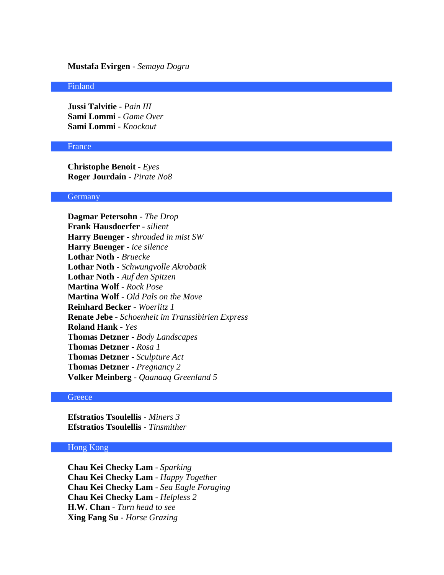# **Mustafa Evirgen** - *Semaya Dogru*

#### Finland

**Jussi Talvitie** - *Pain III* **Sami Lommi** - *Game Over* **Sami Lommi** - *Knockout*

#### France

**Christophe Benoit** - *Eyes* **Roger Jourdain** - *Pirate No8*

#### **Germany**

**Dagmar Petersohn** - *The Drop* **Frank Hausdoerfer** - *silient* **Harry Buenger** - *shrouded in mist SW* **Harry Buenger** - *ice silence* **Lothar Noth** - *Bruecke* **Lothar Noth** - *Schwungvolle Akrobatik* **Lothar Noth** - *Auf den Spitzen* **Martina Wolf** - *Rock Pose* **Martina Wolf** - *Old Pals on the Move* **Reinhard Becker** - *Woerlitz 1* **Renate Jebe** - *Schoenheit im Transsibirien Express* **Roland Hank** - *Yes* **Thomas Detzner** - *Body Landscapes* **Thomas Detzner** - *Rosa 1* **Thomas Detzner** - *Sculpture Act* **Thomas Detzner** - *Pregnancy 2* **Volker Meinberg** - *Qaanaaq Greenland 5*

## **Greece**

**Efstratios Tsoulellis** - *Miners 3* **Efstratios Tsoulellis** - *Tinsmither*

# Hong Kong

**Chau Kei Checky Lam** - *Sparking* **Chau Kei Checky Lam** - *Happy Together* **Chau Kei Checky Lam** - *Sea Eagle Foraging* **Chau Kei Checky Lam** - *Helpless 2* **H.W. Chan** - *Turn head to see* **Xing Fang Su** - *Horse Grazing*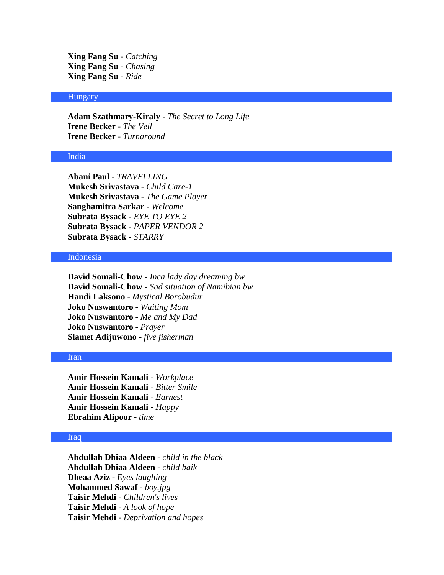**Xing Fang Su** - *Catching* **Xing Fang Su** - *Chasing* **Xing Fang Su** - *Ride*

# **Hungary**

**Adam Szathmary-Kiraly** - *The Secret to Long Life* **Irene Becker** - *The Veil* **Irene Becker** - *Turnaround*

# India

**Abani Paul** - *TRAVELLING* **Mukesh Srivastava** - *Child Care-1* **Mukesh Srivastava** - *The Game Player* **Sanghamitra Sarkar** - *Welcome* **Subrata Bysack** - *EYE TO EYE 2* **Subrata Bysack** - *PAPER VENDOR 2* **Subrata Bysack** - *STARRY*

# Indonesia

**David Somali-Chow** - *Inca lady day dreaming bw* **David Somali-Chow** - *Sad situation of Namibian bw* **Handi Laksono** - *Mystical Borobudur* **Joko Nuswantoro** - *Waiting Mom* **Joko Nuswantoro** - *Me and My Dad* **Joko Nuswantoro** - *Prayer* **Slamet Adijuwono** - *five fisherman*

#### Iran

**Amir Hossein Kamali** - *Workplace* **Amir Hossein Kamali** - *Bitter Smile* **Amir Hossein Kamali** - *Earnest* **Amir Hossein Kamali** - *Happy* **Ebrahim Alipoor** - *time*

#### Iraq

**Abdullah Dhiaa Aldeen** - *child in the black* **Abdullah Dhiaa Aldeen** - *child baik* **Dheaa Aziz** - *Eyes laughing* **Mohammed Sawaf** - *boy.jpg* **Taisir Mehdi** - *Children's lives* **Taisir Mehdi** - *A look of hope* **Taisir Mehdi** - *Deprivation and hopes*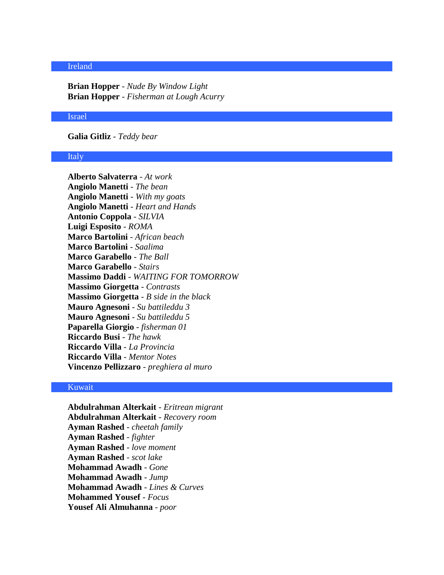# Ireland

**Brian Hopper** - *Nude By Window Light* **Brian Hopper** - *Fisherman at Lough Acurry*

### Israel

**Galia Gitliz** - *Teddy bear*

# Italy

**Alberto Salvaterra** - *At work* **Angiolo Manetti** - *The bean* **Angiolo Manetti** - *With my goats* **Angiolo Manetti** - *Heart and Hands* **Antonio Coppola** - *SILVIA* **Luigi Esposito** - *ROMA* **Marco Bartolini** - *African beach* **Marco Bartolini** - *Saalima* **Marco Garabello** - *The Ball* **Marco Garabello** - *Stairs* **Massimo Daddi** - *WAITING FOR TOMORROW* **Massimo Giorgetta** - *Contrasts* **Massimo Giorgetta** - *B side in the black* **Mauro Agnesoni** - *Su battileddu 3* **Mauro Agnesoni** - *Su battileddu 5* **Paparella Giorgio** - *fisherman 01* **Riccardo Busi** - *The hawk* **Riccardo Villa** - *La Provincia* **Riccardo Villa** - *Mentor Notes* **Vincenzo Pellizzaro** - *preghiera al muro*

#### Kuwait

**Abdulrahman Alterkait** - *Eritrean migrant* **Abdulrahman Alterkait** - *Recovery room* **Ayman Rashed** - *cheetah family* **Ayman Rashed** - *fighter* **Ayman Rashed** - *love moment* **Ayman Rashed** - *scot lake* **Mohammad Awadh** - *Gone* **Mohammad Awadh** - *Jump* **Mohammad Awadh** - *Lines & Curves* **Mohammed Yousef** - *Focus* **Yousef Ali Almuhanna** - *poor*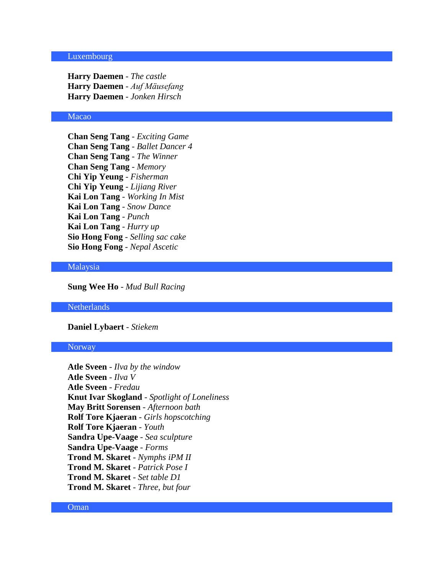#### Luxembourg

**Harry Daemen** - *The castle* **Harry Daemen** - *Auf Mäusefang* **Harry Daemen** - *Jonken Hirsch*

# Macao

**Chan Seng Tang** - *Exciting Game* **Chan Seng Tang** - *Ballet Dancer 4* **Chan Seng Tang** - *The Winner* **Chan Seng Tang** - *Memory* **Chi Yip Yeung** - *Fisherman* **Chi Yip Yeung** - *Lijiang River* **Kai Lon Tang** - *Working In Mist* **Kai Lon Tang** - *Snow Dance* **Kai Lon Tang** - *Punch* **Kai Lon Tang** - *Hurry up* **Sio Hong Fong** - *Selling sac cake* **Sio Hong Fong** - *Nepal Ascetic*

#### Malaysia

**Sung Wee Ho** - *Mud Bull Racing*

**Netherlands** 

**Daniel Lybaert** - *Stiekem*

#### Norway

**Atle Sveen** - *Ilva by the window* **Atle Sveen** - *Ilva V* **Atle Sveen** - *Fredau* **Knut Ivar Skogland** - *Spotlight of Loneliness* **May Britt Sorensen** - *Afternoon bath* **Rolf Tore Kjaeran** - *Girls hopscotching* **Rolf Tore Kjaeran** - *Youth* **Sandra Upe-Vaage** - *Sea sculpture* **Sandra Upe-Vaage** - *Forms* **Trond M. Skaret** - *Nymphs iPM II* **Trond M. Skaret** - *Patrick Pose I* **Trond M. Skaret** - *Set table D1* **Trond M. Skaret** - *Three, but four*

# Oman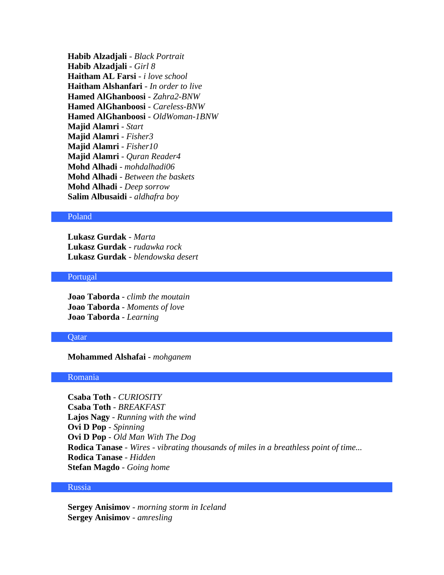**Habib Alzadjali** - *Black Portrait* **Habib Alzadjali** - *Girl 8* **Haitham AL Farsi** - *i love school* **Haitham Alshanfari** - *In order to live* **Hamed AlGhanboosi** - *Zahra2-BNW* **Hamed AlGhanboosi** - *Careless-BNW* **Hamed AlGhanboosi** - *OldWoman-1BNW* **Majid Alamri** - *Start* **Majid Alamri** - *Fisher3* **Majid Alamri** - *Fisher10* **Majid Alamri** - *Quran Reader4* **Mohd Alhadi** - *mohdalhadi06* **Mohd Alhadi** - *Between the baskets* **Mohd Alhadi** - *Deep sorrow* **Salim Albusaidi** - *aldhafra boy*

#### Poland

**Lukasz Gurdak** - *Marta* **Lukasz Gurdak** - *rudawka rock* **Lukasz Gurdak** - *blendowska desert*

# Portugal

**Joao Taborda** - *climb the moutain* **Joao Taborda** - *Moments of love* **Joao Taborda** - *Learning*

#### **O**atar

**Mohammed Alshafai** - *mohganem*

#### Romania

**Csaba Toth** - *CURIOSITY* **Csaba Toth** - *BREAKFAST* **Lajos Nagy** - *Running with the wind* **Ovi D Pop** - *Spinning* **Ovi D Pop** - *Old Man With The Dog* **Rodica Tanase** - *Wires - vibrating thousands of miles in a breathless point of time...* **Rodica Tanase** - *Hidden* **Stefan Magdo** - *Going home*

# Russia

**Sergey Anisimov** - *morning storm in Iceland* **Sergey Anisimov** - *amresling*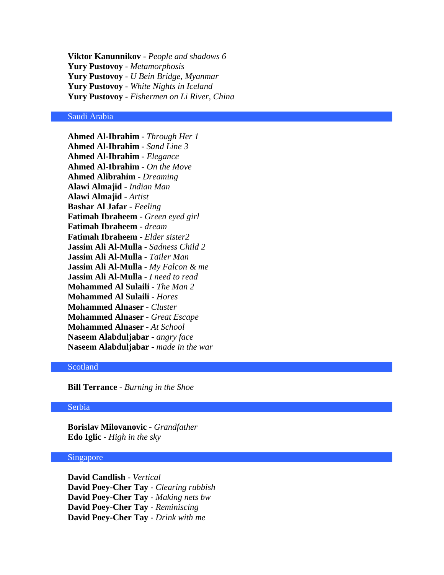**Viktor Kanunnikov** - *People and shadows 6* **Yury Pustovoy** - *Metamorphosis* **Yury Pustovoy** - *U Bein Bridge, Myanmar* **Yury Pustovoy** - *White Nights in Iceland* **Yury Pustovoy** - *Fishermen on Li River, China*

# Saudi Arabia

**Ahmed Al-Ibrahim** - *Through Her 1* **Ahmed Al-Ibrahim** - *Sand Line 3* **Ahmed Al-Ibrahim** - *Elegance* **Ahmed Al-Ibrahim** - *On the Move* **Ahmed Alibrahim** - *Dreaming* **Alawi Almajid** - *Indian Man* **Alawi Almajid** - *Artist* **Bashar Al Jafar** - *Feeling* **Fatimah Ibraheem** - *Green eyed girl* **Fatimah Ibraheem** - *dream* **Fatimah Ibraheem** - *Elder sister2* **Jassim Ali Al-Mulla** - *Sadness Child 2* **Jassim Ali Al-Mulla** - *Tailer Man* **Jassim Ali Al-Mulla** - *My Falcon & me* **Jassim Ali Al-Mulla** - *I need to read* **Mohammed Al Sulaili** - *The Man 2* **Mohammed Al Sulaili** - *Hores* **Mohammed Alnaser** - *Cluster* **Mohammed Alnaser** - *Great Escape* **Mohammed Alnaser** - *At School* **Naseem Alabduljabar** - *angry face* **Naseem Alabduljabar** - *made in the war*

# Scotland

**Bill Terrance** - *Burning in the Shoe*

#### Serbia

**Borislav Milovanovic** - *Grandfather* **Edo Iglic** - *High in the sky*

#### Singapore

**David Candlish** - *Vertical* **David Poey-Cher Tay** - *Clearing rubbish* **David Poey-Cher Tay** - *Making nets bw* **David Poey-Cher Tay** - *Reminiscing* **David Poey-Cher Tay** - *Drink with me*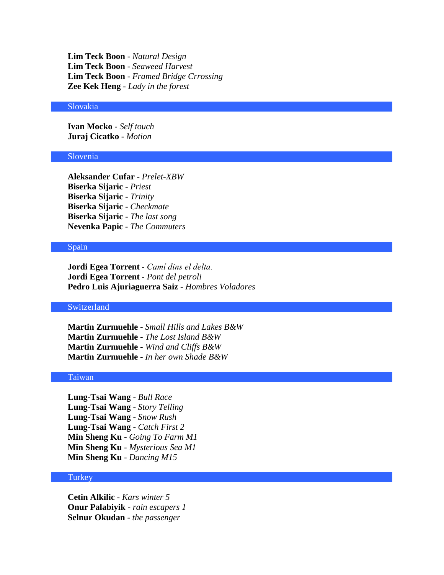**Lim Teck Boon** - *Natural Design* **Lim Teck Boon** - *Seaweed Harvest* **Lim Teck Boon** - *Framed Bridge Crrossing* **Zee Kek Heng** - *Lady in the forest*

#### Slovakia

**Ivan Mocko** - *Self touch* **Juraj Cicatko** - *Motion*

# Slovenia

**Aleksander Cufar** - *Prelet-XBW* **Biserka Sijaric** - *Priest* **Biserka Sijaric** - *Trinity* **Biserka Sijaric** - *Checkmate* **Biserka Sijaric** - *The last song* **Nevenka Papic** - *The Commuters*

# Spain

**Jordi Egea Torrent** - *Camí dins el delta.* **Jordi Egea Torrent** - *Pont del petroli* **Pedro Luis Ajuriaguerra Saiz** - *Hombres Voladores*

### Switzerland

**Martin Zurmuehle** - *Small Hills and Lakes B&W* **Martin Zurmuehle** - *The Lost Island B&W* **Martin Zurmuehle** - *Wind and Cliffs B&W* **Martin Zurmuehle** - *In her own Shade B&W*

#### Taiwan

**Lung-Tsai Wang** - *Bull Race* **Lung-Tsai Wang** - *Story Telling* **Lung-Tsai Wang** - *Snow Rush* **Lung-Tsai Wang** - *Catch First 2* **Min Sheng Ku** - *Going To Farm M1* **Min Sheng Ku** - *Mysterious Sea M1* **Min Sheng Ku** - *Dancing M15*

#### Turkey

**Cetin Alkilic** - *Kars winter 5* **Onur Palabiyik** - *rain escapers 1* **Selnur Okudan** - *the passenger*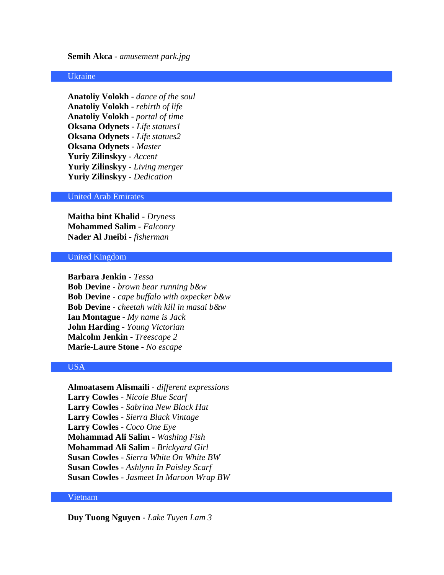# **Semih Akca** - *amusement park.jpg*

# Ukraine

**Anatoliy Volokh** - *dance of the soul* **Anatoliy Volokh** - *rebirth of life* **Anatoliy Volokh** - *portal of time* **Oksana Odynets** - *Life statues1* **Oksana Odynets** - *Life statues2* **Oksana Odynets** - *Master* **Yuriy Zilinskyy** - *Accent* **Yuriy Zilinskyy** - *Living merger* **Yuriy Zilinskyy** - *Dedication*

# United Arab Emirates

**Maitha bint Khalid** - *Dryness* **Mohammed Salim** - *Falconry* **Nader Al Jneibi** - *fisherman*

#### United Kingdom

**Barbara Jenkin** - *Tessa* **Bob Devine** - *brown bear running b&w* **Bob Devine** - *cape buffalo with oxpecker b&w* **Bob Devine** - *cheetah with kill in masai b&w* **Ian Montague** - *My name is Jack* **John Harding** - *Young Victorian* **Malcolm Jenkin** - *Treescape 2* **Marie-Laure Stone** - *No escape*

# USA

**Almoatasem Alismaili** - *different expressions* **Larry Cowles** - *Nicole Blue Scarf* **Larry Cowles** - *Sabrina New Black Hat* **Larry Cowles** - *Sierra Black Vintage* **Larry Cowles** - *Coco One Eye* **Mohammad Ali Salim** - *Washing Fish* **Mohammad Ali Salim** - *Brickyard Girl* **Susan Cowles** - *Sierra White On White BW* **Susan Cowles** - *Ashlynn In Paisley Scarf* **Susan Cowles** - *Jasmeet In Maroon Wrap BW*

# Vietnam

**Duy Tuong Nguyen** - *Lake Tuyen Lam 3*